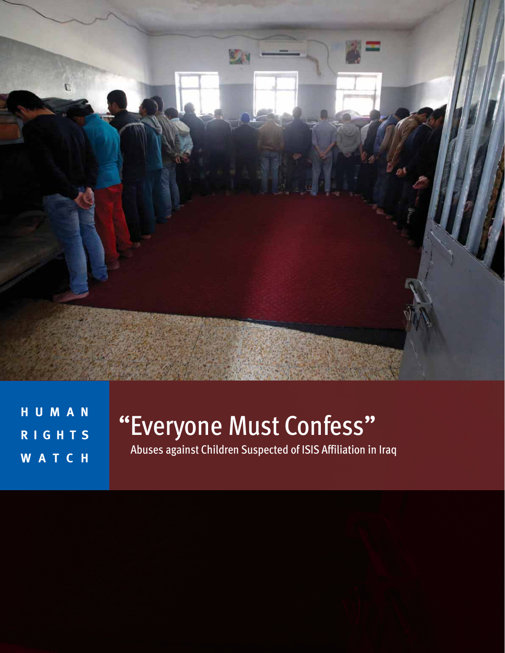

**H U M A N R I G H T S W A T C H** 

# "Everyone Must Confess"

Abuses against Children Suspected of ISIS Affiliation in Iraq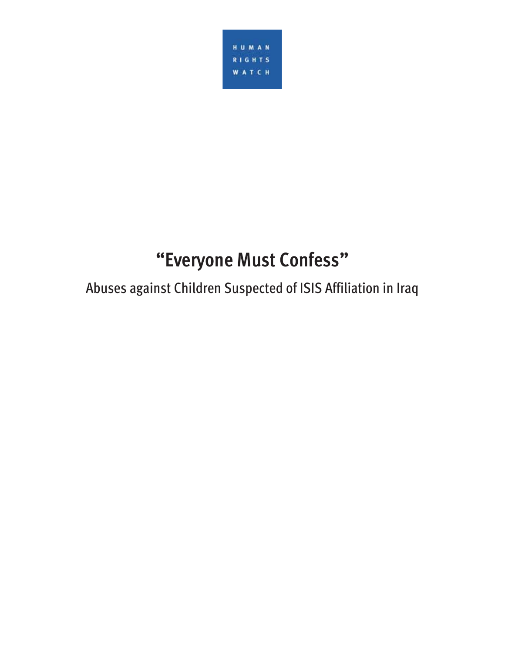

## **"Everyone Must Confess"**

Abuses against Children Suspected of ISIS Affiliation in Iraq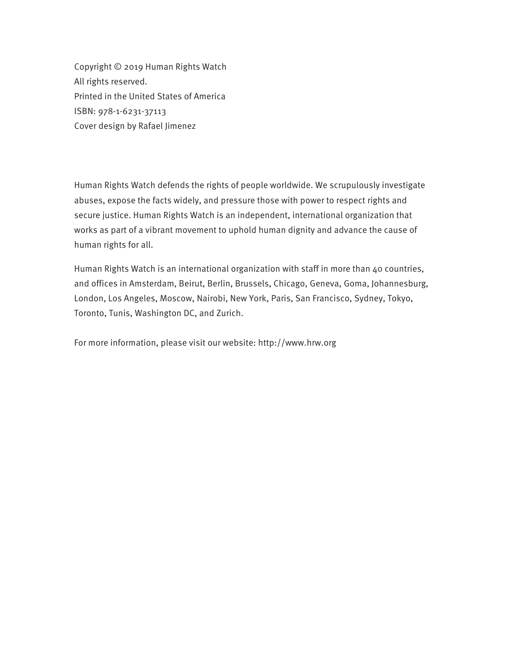Copyright © 2019 Human Rights Watch All rights reserved. Printed in the United States of America ISBN: 978-1-6231-37113 Cover design by Rafael Jimenez

Human Rights Watch defends the rights of people worldwide. We scrupulously investigate abuses, expose the facts widely, and pressure those with power to respect rights and secure justice. Human Rights Watch is an independent, international organization that works as part of a vibrant movement to uphold human dignity and advance the cause of human rights for all.

Human Rights Watch is an international organization with staff in more than 40 countries, and offices in Amsterdam, Beirut, Berlin, Brussels, Chicago, Geneva, Goma, Johannesburg, London, Los Angeles, Moscow, Nairobi, New York, Paris, San Francisco, Sydney, Tokyo, Toronto, Tunis, Washington DC, and Zurich.

For more information, please visit our website: http://www.hrw.org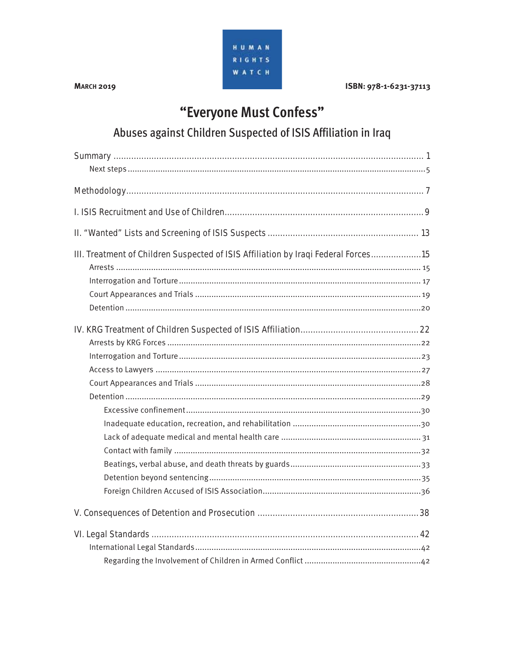

**MARCH 2019** 

ISBN: 978-1-6231-37113

## "Everyone Must Confess"

Abuses against Children Suspected of ISIS Affiliation in Iraq

| III. Treatment of Children Suspected of ISIS Affiliation by Iraqi Federal Forces15 |
|------------------------------------------------------------------------------------|
|                                                                                    |
|                                                                                    |
|                                                                                    |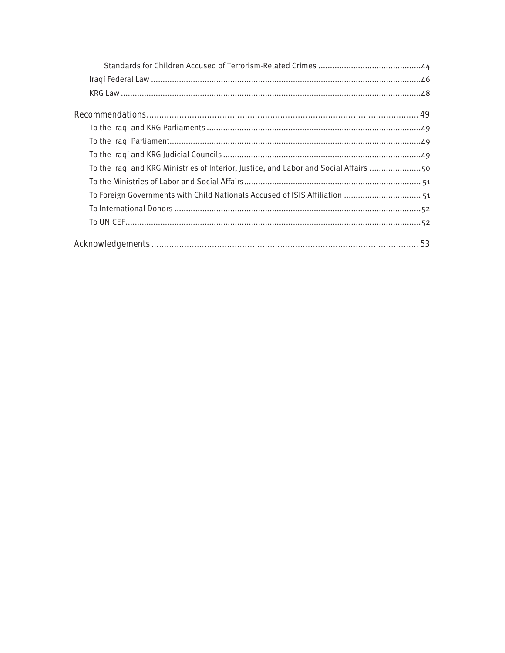| To the Iraqi and KRG Ministries of Interior, Justice, and Labor and Social Affairs 50 |
|---------------------------------------------------------------------------------------|
|                                                                                       |
| To Foreign Governments with Child Nationals Accused of ISIS Affiliation  51           |
|                                                                                       |
|                                                                                       |
|                                                                                       |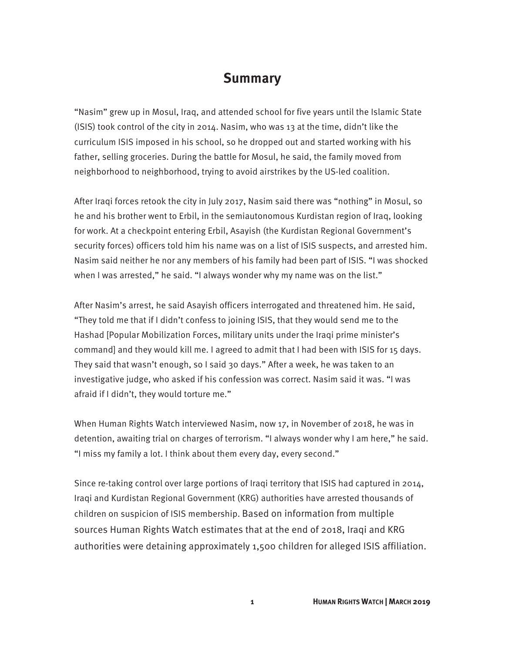## **Summary**

"Nasim" grew up in Mosul, Iraq, and attended school for five years until the Islamic State (ISIS) took control of the city in 2014. Nasim, who was 13 at the time, didn't like the curriculum ISIS imposed in his school, so he dropped out and started working with his father, selling groceries. During the battle for Mosul, he said, the family moved from neighborhood to neighborhood, trying to avoid airstrikes by the US-led coalition.

After Iraqi forces retook the city in July 2017, Nasim said there was "nothing" in Mosul, so he and his brother went to Erbil, in the semiautonomous Kurdistan region of Iraq, looking for work. At a checkpoint entering Erbil, Asayish (the Kurdistan Regional Government's security forces) officers told him his name was on a list of ISIS suspects, and arrested him. Nasim said neither he nor any members of his family had been part of ISIS. "I was shocked when I was arrested," he said. "I always wonder why my name was on the list."

After Nasim's arrest, he said Asayish officers interrogated and threatened him. He said, "They told me that if I didn't confess to joining ISIS, that they would send me to the Hashad [Popular Mobilization Forces, military units under the Iraqi prime minister's command] and they would kill me. I agreed to admit that I had been with ISIS for 15 days. They said that wasn't enough, so I said 30 days." After a week, he was taken to an investigative judge, who asked if his confession was correct. Nasim said it was. "I was afraid if I didn't, they would torture me."

When Human Rights Watch interviewed Nasim, now 17, in November of 2018, he was in detention, awaiting trial on charges of terrorism. "I always wonder why I am here," he said. "I miss my family a lot. I think about them every day, every second."

Since re-taking control over large portions of Iraqi territory that ISIS had captured in 2014, Iraqi and Kurdistan Regional Government (KRG) authorities have arrested thousands of children on suspicion of ISIS membership. Based on information from multiple sources Human Rights Watch estimates that at the end of 2018, Iraqi and KRG authorities were detaining approximately 1,500 children for alleged ISIS affiliation.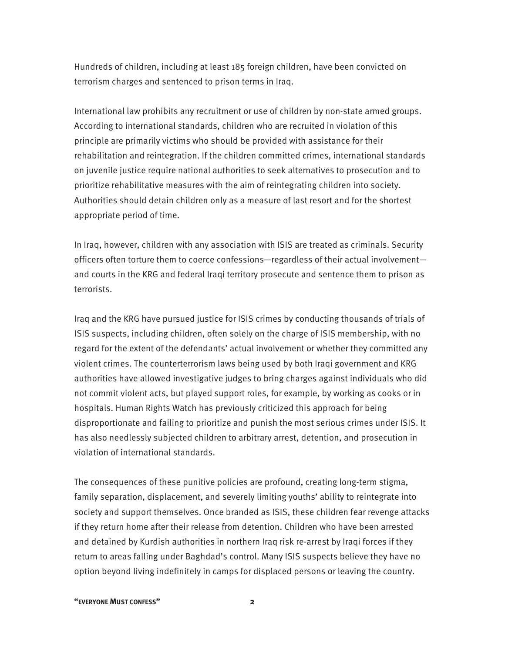Hundreds of children, including at least 185 foreign children, have been convicted on terrorism charges and sentenced to prison terms in Iraq.

International law prohibits any recruitment or use of children by non-state armed groups. According to international standards, children who are recruited in violation of this principle are primarily victims who should be provided with assistance for their rehabilitation and reintegration. If the children committed crimes, international standards on juvenile justice require national authorities to seek alternatives to prosecution and to prioritize rehabilitative measures with the aim of reintegrating children into society. Authorities should detain children only as a measure of last resort and for the shortest appropriate period of time.

In Iraq, however, children with any association with ISIS are treated as criminals. Security officers often torture them to coerce confessions—regardless of their actual involvement and courts in the KRG and federal Iraqi territory prosecute and sentence them to prison as terrorists.

Iraq and the KRG have pursued justice for ISIS crimes by conducting thousands of trials of ISIS suspects, including children, often solely on the charge of ISIS membership, with no regard for the extent of the defendants' actual involvement or whether they committed any violent crimes. The counterterrorism laws being used by both Iraqi government and KRG authorities have allowed investigative judges to bring charges against individuals who did not commit violent acts, but played support roles, for example, by working as cooks or in hospitals. Human Rights Watch has previously criticized this approach for being disproportionate and failing to prioritize and punish the most serious crimes under ISIS. It has also needlessly subjected children to arbitrary arrest, detention, and prosecution in violation of international standards.

The consequences of these punitive policies are profound, creating long-term stigma, family separation, displacement, and severely limiting youths' ability to reintegrate into society and support themselves. Once branded as ISIS, these children fear revenge attacks if they return home after their release from detention. Children who have been arrested and detained by Kurdish authorities in northern Iraq risk re-arrest by Iraqi forces if they return to areas falling under Baghdad's control. Many ISIS suspects believe they have no option beyond living indefinitely in camps for displaced persons or leaving the country.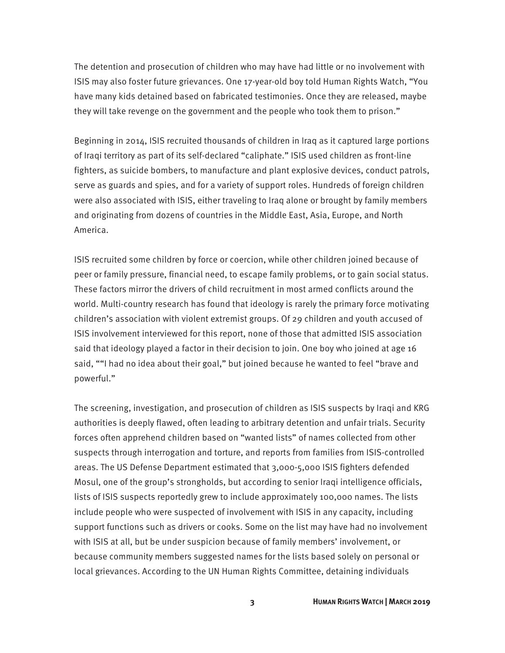The detention and prosecution of children who may have had little or no involvement with ISIS may also foster future grievances. One 17-year-old boy told Human Rights Watch, "You have many kids detained based on fabricated testimonies. Once they are released, maybe they will take revenge on the government and the people who took them to prison."

Beginning in 2014, ISIS recruited thousands of children in Iraq as it captured large portions of Iraqi territory as part of its self-declared "caliphate." ISIS used children as front-line fighters, as suicide bombers, to manufacture and plant explosive devices, conduct patrols, serve as guards and spies, and for a variety of support roles. Hundreds of foreign children were also associated with ISIS, either traveling to Iraq alone or brought by family members and originating from dozens of countries in the Middle East, Asia, Europe, and North America.

ISIS recruited some children by force or coercion, while other children joined because of peer or family pressure, financial need, to escape family problems, or to gain social status. These factors mirror the drivers of child recruitment in most armed conflicts around the world. Multi-country research has found that ideology is rarely the primary force motivating children's association with violent extremist groups. Of 29 children and youth accused of ISIS involvement interviewed for this report, none of those that admitted ISIS association said that ideology played a factor in their decision to join. One boy who joined at age 16 said, ""I had no idea about their goal," but joined because he wanted to feel "brave and powerful."

The screening, investigation, and prosecution of children as ISIS suspects by Iraqi and KRG authorities is deeply flawed, often leading to arbitrary detention and unfair trials. Security forces often apprehend children based on "wanted lists" of names collected from other suspects through interrogation and torture, and reports from families from ISIS-controlled areas. The US Defense Department estimated that 3,000-5,000 ISIS fighters defended Mosul, one of the group's strongholds, but according to senior Iraqi intelligence officials, lists of ISIS suspects reportedly grew to include approximately 100,000 names. The lists include people who were suspected of involvement with ISIS in any capacity, including support functions such as drivers or cooks. Some on the list may have had no involvement with ISIS at all, but be under suspicion because of family members' involvement, or because community members suggested names for the lists based solely on personal or local grievances. According to the UN Human Rights Committee, detaining individuals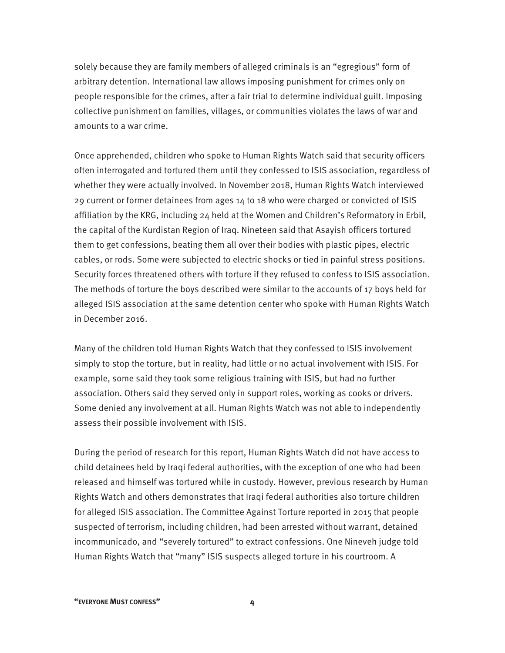solely because they are family members of alleged criminals is an "egregious" form of arbitrary detention. International law allows imposing punishment for crimes only on people responsible for the crimes, after a fair trial to determine individual guilt. Imposing collective punishment on families, villages, or communities violates the laws of war and amounts to a war crime.

Once apprehended, children who spoke to Human Rights Watch said that security officers often interrogated and tortured them until they confessed to ISIS association, regardless of whether they were actually involved. In November 2018, Human Rights Watch interviewed 29 current or former detainees from ages 14 to 18 who were charged or convicted of ISIS affiliation by the KRG, including 24 held at the Women and Children's Reformatory in Erbil, the capital of the Kurdistan Region of Iraq. Nineteen said that Asayish officers tortured them to get confessions, beating them all over their bodies with plastic pipes, electric cables, or rods. Some were subjected to electric shocks or tied in painful stress positions. Security forces threatened others with torture if they refused to confess to ISIS association. The methods of torture the boys described were similar to the accounts of 17 boys held for alleged ISIS association at the same detention center who spoke with Human Rights Watch in December 2016.

Many of the children told Human Rights Watch that they confessed to ISIS involvement simply to stop the torture, but in reality, had little or no actual involvement with ISIS. For example, some said they took some religious training with ISIS, but had no further association. Others said they served only in support roles, working as cooks or drivers. Some denied any involvement at all. Human Rights Watch was not able to independently assess their possible involvement with ISIS.

During the period of research for this report, Human Rights Watch did not have access to child detainees held by Iraqi federal authorities, with the exception of one who had been released and himself was tortured while in custody. However, previous research by Human Rights Watch and others demonstrates that Iraqi federal authorities also torture children for alleged ISIS association. The Committee Against Torture reported in 2015 that people suspected of terrorism, including children, had been arrested without warrant, detained incommunicado, and "severely tortured" to extract confessions. One Nineveh judge told Human Rights Watch that "many" ISIS suspects alleged torture in his courtroom. A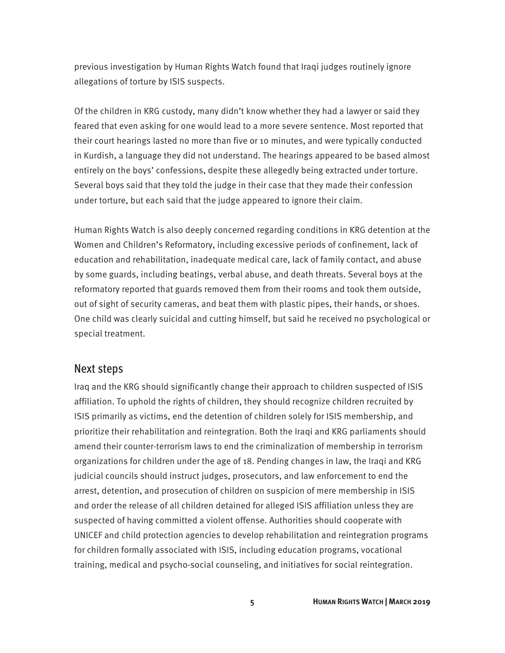previous investigation by Human Rights Watch found that Iraqi judges routinely ignore allegations of torture by ISIS suspects.

Of the children in KRG custody, many didn't know whether they had a lawyer or said they feared that even asking for one would lead to a more severe sentence. Most reported that their court hearings lasted no more than five or 10 minutes, and were typically conducted in Kurdish, a language they did not understand. The hearings appeared to be based almost entirely on the boys' confessions, despite these allegedly being extracted under torture. Several boys said that they told the judge in their case that they made their confession under torture, but each said that the judge appeared to ignore their claim.

Human Rights Watch is also deeply concerned regarding conditions in KRG detention at the Women and Children's Reformatory, including excessive periods of confinement, lack of education and rehabilitation, inadequate medical care, lack of family contact, and abuse by some guards, including beatings, verbal abuse, and death threats. Several boys at the reformatory reported that guards removed them from their rooms and took them outside, out of sight of security cameras, and beat them with plastic pipes, their hands, or shoes. One child was clearly suicidal and cutting himself, but said he received no psychological or special treatment.

#### Next steps

Iraq and the KRG should significantly change their approach to children suspected of ISIS affiliation. To uphold the rights of children, they should recognize children recruited by ISIS primarily as victims, end the detention of children solely for ISIS membership, and prioritize their rehabilitation and reintegration. Both the Iraqi and KRG parliaments should amend their counter-terrorism laws to end the criminalization of membership in terrorism organizations for children under the age of 18. Pending changes in law, the Iraqi and KRG judicial councils should instruct judges, prosecutors, and law enforcement to end the arrest, detention, and prosecution of children on suspicion of mere membership in ISIS and order the release of all children detained for alleged ISIS affiliation unless they are suspected of having committed a violent offense. Authorities should cooperate with UNICEF and child protection agencies to develop rehabilitation and reintegration programs for children formally associated with ISIS, including education programs, vocational training, medical and psycho-social counseling, and initiatives for social reintegration.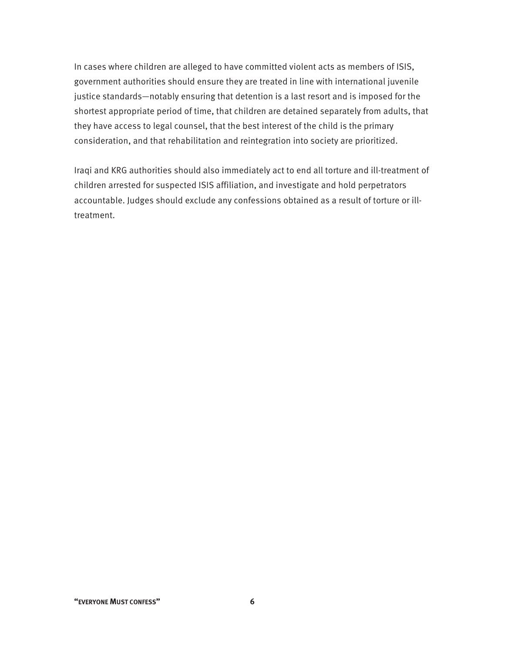In cases where children are alleged to have committed violent acts as members of ISIS, government authorities should ensure they are treated in line with international juvenile justice standards—notably ensuring that detention is a last resort and is imposed for the shortest appropriate period of time, that children are detained separately from adults, that they have access to legal counsel, that the best interest of the child is the primary consideration, and that rehabilitation and reintegration into society are prioritized.

Iraqi and KRG authorities should also immediately act to end all torture and ill-treatment of children arrested for suspected ISIS affiliation, and investigate and hold perpetrators accountable. Judges should exclude any confessions obtained as a result of torture or illtreatment.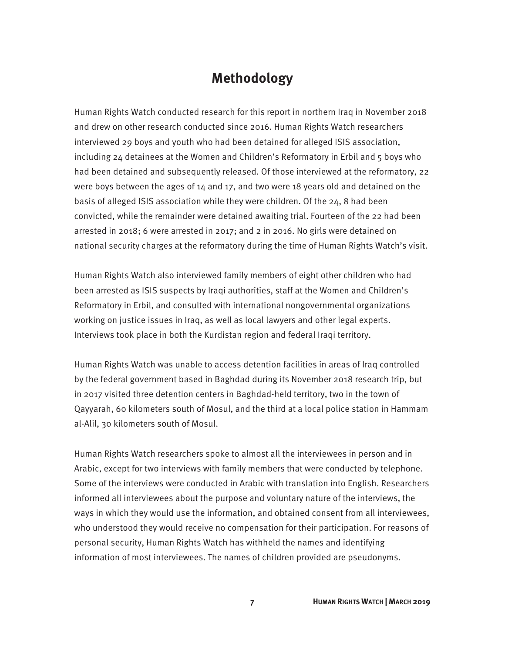## **Methodology**

Human Rights Watch conducted research for this report in northern Iraq in November 2018 and drew on other research conducted since 2016. Human Rights Watch researchers interviewed 29 boys and youth who had been detained for alleged ISIS association, including 24 detainees at the Women and Children's Reformatory in Erbil and 5 boys who had been detained and subsequently released. Of those interviewed at the reformatory, 22 were boys between the ages of 14 and 17, and two were 18 years old and detained on the basis of alleged ISIS association while they were children. Of the 24, 8 had been convicted, while the remainder were detained awaiting trial. Fourteen of the 22 had been arrested in 2018; 6 were arrested in 2017; and 2 in 2016. No girls were detained on national security charges at the reformatory during the time of Human Rights Watch's visit.

Human Rights Watch also interviewed family members of eight other children who had been arrested as ISIS suspects by Iraqi authorities, staff at the Women and Children's Reformatory in Erbil, and consulted with international nongovernmental organizations working on justice issues in Iraq, as well as local lawyers and other legal experts. Interviews took place in both the Kurdistan region and federal Iraqi territory.

Human Rights Watch was unable to access detention facilities in areas of Iraq controlled by the federal government based in Baghdad during its November 2018 research trip, but in 2017 visited three detention centers in Baghdad-held territory, two in the town of Qayyarah, 60 kilometers south of Mosul, and the third at a local police station in Hammam al-Alil, 30 kilometers south of Mosul.

Human Rights Watch researchers spoke to almost all the interviewees in person and in Arabic, except for two interviews with family members that were conducted by telephone. Some of the interviews were conducted in Arabic with translation into English. Researchers informed all interviewees about the purpose and voluntary nature of the interviews, the ways in which they would use the information, and obtained consent from all interviewees, who understood they would receive no compensation for their participation. For reasons of personal security, Human Rights Watch has withheld the names and identifying information of most interviewees. The names of children provided are pseudonyms.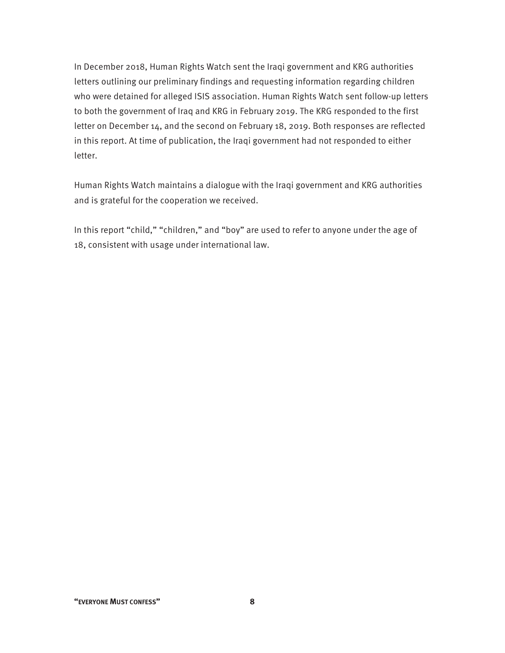In December 2018, Human Rights Watch sent the Iraqi government and KRG authorities letters outlining our preliminary findings and requesting information regarding children who were detained for alleged ISIS association. Human Rights Watch sent follow-up letters to both the government of Iraq and KRG in February 2019. The KRG responded to the first letter on December 14, and the second on February 18, 2019. Both responses are reflected in this report. At time of publication, the Iraqi government had not responded to either letter.

Human Rights Watch maintains a dialogue with the Iraqi government and KRG authorities and is grateful for the cooperation we received.

In this report "child," "children," and "boy" are used to refer to anyone under the age of 18, consistent with usage under international law.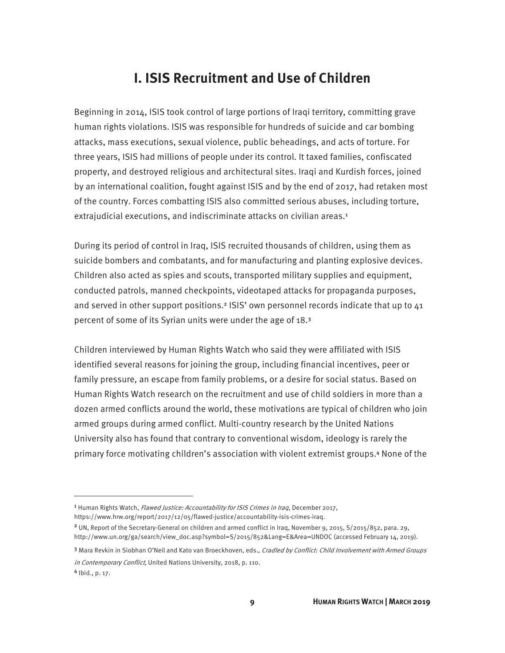## **I. ISIS Recruitment and Use of Children**

Beginning in 2014, ISIS took control of large portions of Iraqi territory, committing grave human rights violations. ISIS was responsible for hundreds of suicide and car bombing attacks, mass executions, sexual violence, public beheadings, and acts of torture. For three years, ISIS had millions of people under its control. It taxed families, confiscated property, and destroyed religious and architectural sites. Iraqi and Kurdish forces, joined by an international coalition, fought against ISIS and by the end of 2017, had retaken most of the country. Forces combatting ISIS also committed serious abuses, including torture, extrajudicial executions, and indiscriminate attacks on civilian areas.<sup>1</sup>

During its period of control in Iraq, ISIS recruited thousands of children, using them as suicide bombers and combatants, and for manufacturing and planting explosive devices. Children also acted as spies and scouts, transported military supplies and equipment, conducted patrols, manned checkpoints, videotaped attacks for propaganda purposes, and served in other support positions.<sup>2</sup> ISIS' own personnel records indicate that up to 41 percent of some of its Syrian units were under the age of 18.<sup>3</sup>

Children interviewed by Human Rights Watch who said they were affiliated with ISIS identified several reasons for joining the group, including financial incentives, peer or family pressure, an escape from family problems, or a desire for social status. Based on Human Rights Watch research on the recruitment and use of child soldiers in more than a dozen armed conflicts around the world, these motivations are typical of children who join armed groups during armed conflict. Multi-country research by the United Nations University also has found that contrary to conventional wisdom, ideology is rarely the primary force motivating children's association with violent extremist groups.4 None of the

 $\overline{a}$ 

3 Mara Revkin in Siobhan O'Neil and Kato van Broeckhoven, eds., Cradled by Conflict: Child Involvement with Armed Groups in Contemporary Conflict, United Nations University, 2018, p. 110. <sup>4</sup> Ibid., p. 17.

<sup>&</sup>lt;sup>1</sup> Human Rights Watch, *Flawed Justice: Accountability for ISIS Crimes in Iraq*, December 2017,

https://www.hrw.org/report/2017/12/05/flawed-justice/accountability-isis-crimes-iraq.

<sup>2</sup> UN, Report of the Secretary-General on children and armed conflict in Iraq, November 9, 2015, S/2015/852, para. 29, http://www.un.org/ga/search/view\_doc.asp?symbol=S/2015/852&Lang=E&Area=UNDOC (accessed February 14, 2019).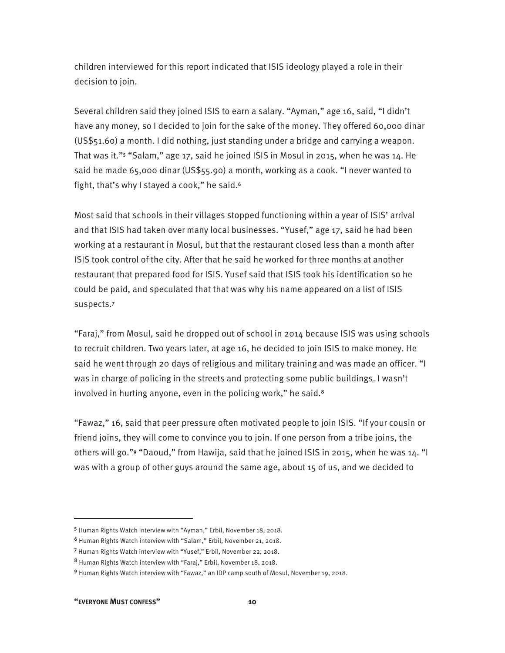children interviewed for this report indicated that ISIS ideology played a role in their decision to join.

Several children said they joined ISIS to earn a salary. "Ayman," age 16, said, "I didn't have any money, so I decided to join for the sake of the money. They offered 60,000 dinar (US\$51.60) a month. I did nothing, just standing under a bridge and carrying a weapon. That was it."5 "Salam," age 17, said he joined ISIS in Mosul in 2015, when he was 14. He said he made 65,000 dinar (US\$55.90) a month, working as a cook. "I never wanted to fight, that's why I stayed a cook," he said.<sup>6</sup>

Most said that schools in their villages stopped functioning within a year of ISIS' arrival and that ISIS had taken over many local businesses. "Yusef," age 17, said he had been working at a restaurant in Mosul, but that the restaurant closed less than a month after ISIS took control of the city. After that he said he worked for three months at another restaurant that prepared food for ISIS. Yusef said that ISIS took his identification so he could be paid, and speculated that that was why his name appeared on a list of ISIS suspects.<sup>7</sup>

"Faraj," from Mosul, said he dropped out of school in 2014 because ISIS was using schools to recruit children. Two years later, at age 16, he decided to join ISIS to make money. He said he went through 20 days of religious and military training and was made an officer. "I was in charge of policing in the streets and protecting some public buildings. I wasn't involved in hurting anyone, even in the policing work," he said.<sup>8</sup>

"Fawaz," 16, said that peer pressure often motivated people to join ISIS. "If your cousin or friend joins, they will come to convince you to join. If one person from a tribe joins, the others will go."9 "Daoud," from Hawija, said that he joined ISIS in 2015, when he was 14. "I was with a group of other guys around the same age, about 15 of us, and we decided to

**"EVERYONE MUST CONFESS" 10** 

<sup>5</sup> Human Rights Watch interview with "Ayman," Erbil, November 18, 2018.

<sup>6</sup> Human Rights Watch interview with "Salam," Erbil, November 21, 2018.

<sup>7</sup> Human Rights Watch interview with "Yusef," Erbil, November 22, 2018.

<sup>8</sup> Human Rights Watch interview with "Faraj," Erbil, November 18, 2018.

<sup>9</sup> Human Rights Watch interview with "Fawaz," an IDP camp south of Mosul, November 19, 2018.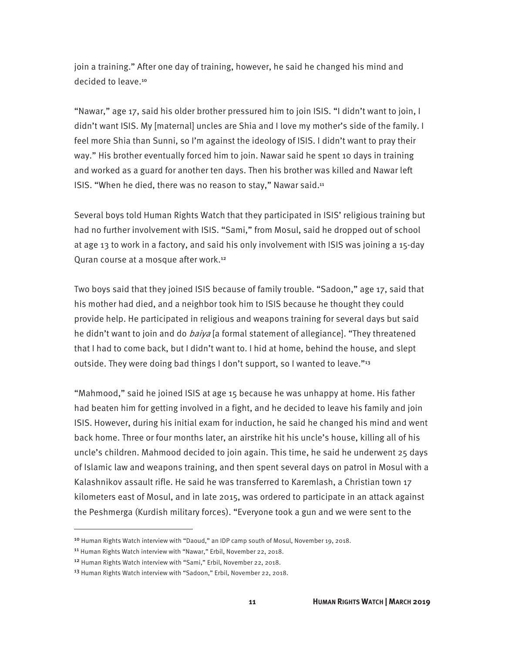join a training." After one day of training, however, he said he changed his mind and decided to leave.<sup>10</sup>

"Nawar," age 17, said his older brother pressured him to join ISIS. "I didn't want to join, I didn't want ISIS. My [maternal] uncles are Shia and I love my mother's side of the family. I feel more Shia than Sunni, so I'm against the ideology of ISIS. I didn't want to pray their way." His brother eventually forced him to join. Nawar said he spent 10 days in training and worked as a guard for another ten days. Then his brother was killed and Nawar left ISIS. "When he died, there was no reason to stay," Nawar said.<sup>11</sup>

Several boys told Human Rights Watch that they participated in ISIS' religious training but had no further involvement with ISIS. "Sami," from Mosul, said he dropped out of school at age 13 to work in a factory, and said his only involvement with ISIS was joining a 15-day Quran course at a mosque after work.<sup>12</sup>

Two boys said that they joined ISIS because of family trouble. "Sadoon," age 17, said that his mother had died, and a neighbor took him to ISIS because he thought they could provide help. He participated in religious and weapons training for several days but said he didn't want to join and do *baiya* [a formal statement of allegiance]. "They threatened that I had to come back, but I didn't want to. I hid at home, behind the house, and slept outside. They were doing bad things I don't support, so I wanted to leave."<sup>13</sup>

"Mahmood," said he joined ISIS at age 15 because he was unhappy at home. His father had beaten him for getting involved in a fight, and he decided to leave his family and join ISIS. However, during his initial exam for induction, he said he changed his mind and went back home. Three or four months later, an airstrike hit his uncle's house, killing all of his uncle's children. Mahmood decided to join again. This time, he said he underwent 25 days of Islamic law and weapons training, and then spent several days on patrol in Mosul with a Kalashnikov assault rifle. He said he was transferred to Karemlash, a Christian town 17 kilometers east of Mosul, and in late 2015, was ordered to participate in an attack against the Peshmerga (Kurdish military forces). "Everyone took a gun and we were sent to the

-

<sup>&</sup>lt;sup>10</sup> Human Rights Watch interview with "Daoud," an IDP camp south of Mosul, November 19, 2018.

<sup>11</sup> Human Rights Watch interview with "Nawar," Erbil, November 22, 2018.

<sup>&</sup>lt;sup>12</sup> Human Rights Watch interview with "Sami," Erbil, November 22, 2018.

<sup>&</sup>lt;sup>13</sup> Human Rights Watch interview with "Sadoon," Erbil, November 22, 2018.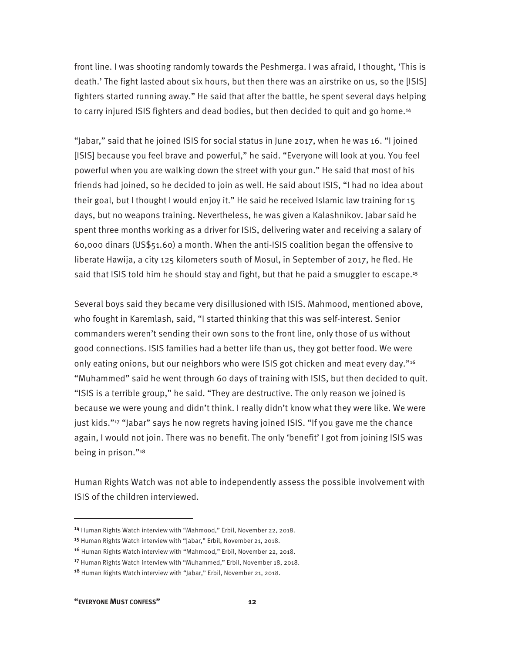front line. I was shooting randomly towards the Peshmerga. I was afraid, I thought, 'This is death.' The fight lasted about six hours, but then there was an airstrike on us, so the [ISIS] fighters started running away." He said that after the battle, he spent several days helping to carry injured ISIS fighters and dead bodies, but then decided to quit and go home.<sup>14</sup>

"Jabar," said that he joined ISIS for social status in June 2017, when he was 16. "I joined [ISIS] because you feel brave and powerful," he said. "Everyone will look at you. You feel powerful when you are walking down the street with your gun." He said that most of his friends had joined, so he decided to join as well. He said about ISIS, "I had no idea about their goal, but I thought I would enjoy it." He said he received Islamic law training for 15 days, but no weapons training. Nevertheless, he was given a Kalashnikov. Jabar said he spent three months working as a driver for ISIS, delivering water and receiving a salary of 60,000 dinars (US\$51.60) a month. When the anti-ISIS coalition began the offensive to liberate Hawija, a city 125 kilometers south of Mosul, in September of 2017, he fled. He said that ISIS told him he should stay and fight, but that he paid a smuggler to escape.<sup>15</sup>

Several boys said they became very disillusioned with ISIS. Mahmood, mentioned above, who fought in Karemlash, said, "I started thinking that this was self-interest. Senior commanders weren't sending their own sons to the front line, only those of us without good connections. ISIS families had a better life than us, they got better food. We were only eating onions, but our neighbors who were ISIS got chicken and meat every day."<sup>16</sup> "Muhammed" said he went through 60 days of training with ISIS, but then decided to quit. "ISIS is a terrible group," he said. "They are destructive. The only reason we joined is because we were young and didn't think. I really didn't know what they were like. We were just kids."<sup>17</sup> "Jabar" says he now regrets having joined ISIS. "If you gave me the chance again, I would not join. There was no benefit. The only 'benefit' I got from joining ISIS was being in prison."<sup>18</sup>

Human Rights Watch was not able to independently assess the possible involvement with ISIS of the children interviewed.

**"EVERYONE MUST CONFESS" 12** 

<sup>14</sup> Human Rights Watch interview with "Mahmood," Erbil, November 22, 2018.

<sup>15</sup> Human Rights Watch interview with "Jabar," Erbil, November 21, 2018.

<sup>16</sup> Human Rights Watch interview with "Mahmood," Erbil, November 22, 2018.

<sup>&</sup>lt;sup>17</sup> Human Rights Watch interview with "Muhammed," Erbil, November 18, 2018.

<sup>&</sup>lt;sup>18</sup> Human Rights Watch interview with "Jabar," Erbil, November 21, 2018.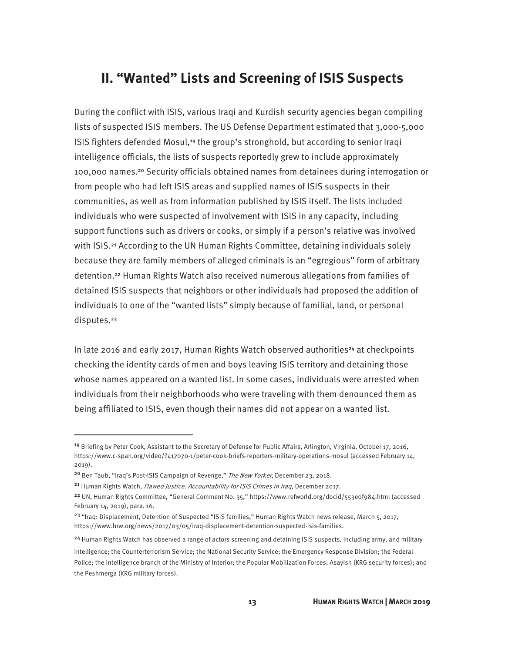## **II. "Wanted" Lists and Screening of ISIS Suspects**

During the conflict with ISIS, various Iraqi and Kurdish security agencies began compiling lists of suspected ISIS members. The US Defense Department estimated that 3,000-5,000 ISIS fighters defended Mosul,19 the group's stronghold, but according to senior Iraqi intelligence officials, the lists of suspects reportedly grew to include approximately 100,000 names.20 Security officials obtained names from detainees during interrogation or from people who had left ISIS areas and supplied names of ISIS suspects in their communities, as well as from information published by ISIS itself. The lists included individuals who were suspected of involvement with ISIS in any capacity, including support functions such as drivers or cooks, or simply if a person's relative was involved with ISIS.<sup>21</sup> According to the UN Human Rights Committee, detaining individuals solely because they are family members of alleged criminals is an "egregious" form of arbitrary detention.22 Human Rights Watch also received numerous allegations from families of detained ISIS suspects that neighbors or other individuals had proposed the addition of individuals to one of the "wanted lists" simply because of familial, land, or personal disputes.<sup>23</sup>

In late 2016 and early 2017, Human Rights Watch observed authorities<sup>24</sup> at checkpoints checking the identity cards of men and boys leaving ISIS territory and detaining those whose names appeared on a wanted list. In some cases, individuals were arrested when individuals from their neighborhoods who were traveling with them denounced them as being affiliated to ISIS, even though their names did not appear on a wanted list.

<sup>19</sup> Briefing by Peter Cook, Assistant to the Secretary of Defense for Public Affairs, Arlington, Virginia, October 17, 2016, https://www.c-span.org/video/?417070-1/peter-cook-briefs-reporters-military-operations-mosul (accessed February 14, 2019).

<sup>&</sup>lt;sup>20</sup> Ben Taub, "Iraq's Post-ISIS Campaign of Revenge," The New Yorker, December 23, 2018.

<sup>&</sup>lt;sup>21</sup> Human Rights Watch, Flawed Justice: Accountability for ISIS Crimes in Iraq, December 2017.

<sup>22</sup> UN, Human Rights Committee, "General Comment No. 35," https://www.refworld.org/docid/553e0f984.html (accessed February 14, 2019), para. 16.

<sup>&</sup>lt;sup>23</sup> "Iraq: Displacement, Detention of Suspected "ISIS families," Human Rights Watch news release, March 5, 2017, https://www.hrw.org/news/2017/03/05/iraq-displacement-detention-suspected-isis-families.

<sup>&</sup>lt;sup>24</sup> Human Rights Watch has observed a range of actors screening and detaining ISIS suspects, including army, and military

intelligence; the Counterterrorism Service; the National Security Service; the Emergency Response Division; the Federal Police; the intelligence branch of the Ministry of Interior; the Popular Mobilization Forces; Asayish (KRG security forces); and the Peshmerga (KRG military forces).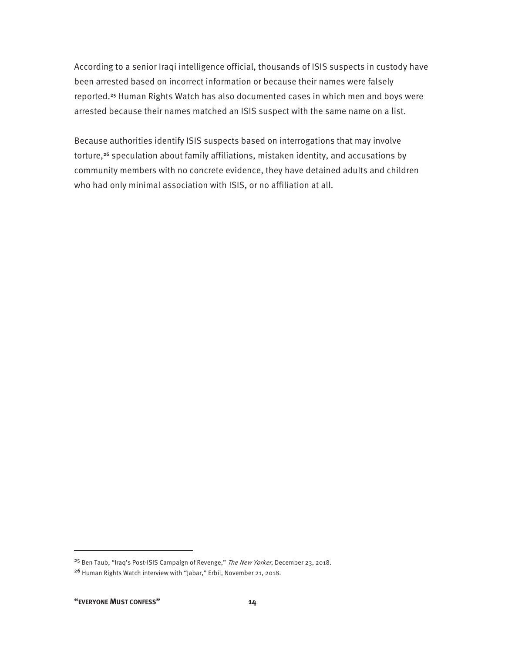According to a senior Iraqi intelligence official, thousands of ISIS suspects in custody have been arrested based on incorrect information or because their names were falsely reported.<sup>25</sup> Human Rights Watch has also documented cases in which men and boys were arrested because their names matched an ISIS suspect with the same name on a list.

Because authorities identify ISIS suspects based on interrogations that may involve torture,<sup>26</sup> speculation about family affiliations, mistaken identity, and accusations by community members with no concrete evidence, they have detained adults and children who had only minimal association with ISIS, or no affiliation at all.

-

<sup>&</sup>lt;sup>25</sup> Ben Taub, "Iraq's Post-ISIS Campaign of Revenge," The New Yorker, December 23, 2018. <sup>26</sup> Human Rights Watch interview with "Jabar," Erbil, November 21, 2018.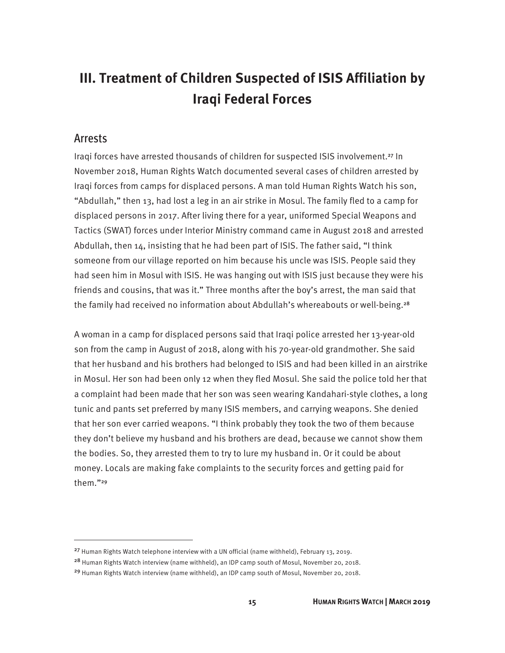## **III. Treatment of Children Suspected of ISIS Affiliation by Iraqi Federal Forces**

#### Arrests

<u>.</u>

Iraqi forces have arrested thousands of children for suspected ISIS involvement.27 In November 2018, Human Rights Watch documented several cases of children arrested by Iraqi forces from camps for displaced persons. A man told Human Rights Watch his son, "Abdullah," then 13, had lost a leg in an air strike in Mosul. The family fled to a camp for displaced persons in 2017. After living there for a year, uniformed Special Weapons and Tactics (SWAT) forces under Interior Ministry command came in August 2018 and arrested Abdullah, then  $14$ , insisting that he had been part of ISIS. The father said, "I think someone from our village reported on him because his uncle was ISIS. People said they had seen him in Mosul with ISIS. He was hanging out with ISIS just because they were his friends and cousins, that was it." Three months after the boy's arrest, the man said that the family had received no information about Abdullah's whereabouts or well-being.<sup>28</sup>

A woman in a camp for displaced persons said that Iraqi police arrested her 13-year-old son from the camp in August of 2018, along with his 70-year-old grandmother. She said that her husband and his brothers had belonged to ISIS and had been killed in an airstrike in Mosul. Her son had been only 12 when they fled Mosul. She said the police told her that a complaint had been made that her son was seen wearing Kandahari-style clothes, a long tunic and pants set preferred by many ISIS members, and carrying weapons. She denied that her son ever carried weapons. "I think probably they took the two of them because they don't believe my husband and his brothers are dead, because we cannot show them the bodies. So, they arrested them to try to lure my husband in. Or it could be about money. Locals are making fake complaints to the security forces and getting paid for them."<sup>29</sup>

<sup>27</sup> Human Rights Watch telephone interview with a UN official (name withheld), February 13, 2019.

<sup>28</sup> Human Rights Watch interview (name withheld), an IDP camp south of Mosul, November 20, 2018.

<sup>29</sup> Human Rights Watch interview (name withheld), an IDP camp south of Mosul, November 20, 2018.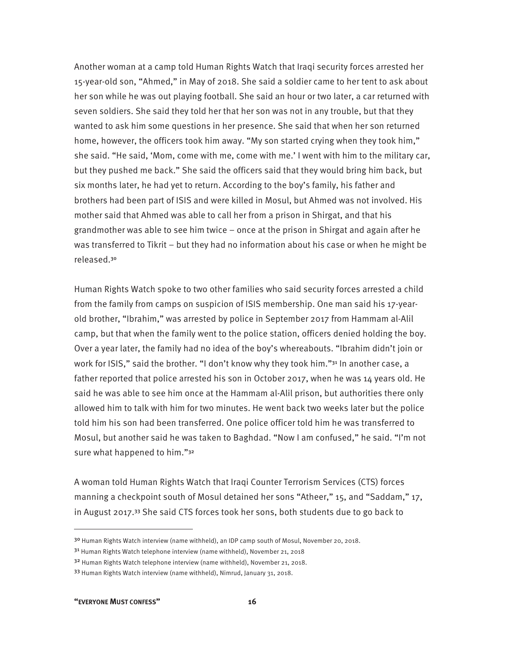Another woman at a camp told Human Rights Watch that Iraqi security forces arrested her 15-year-old son, "Ahmed," in May of 2018. She said a soldier came to her tent to ask about her son while he was out playing football. She said an hour or two later, a car returned with seven soldiers. She said they told her that her son was not in any trouble, but that they wanted to ask him some questions in her presence. She said that when her son returned home, however, the officers took him away. "My son started crying when they took him," she said. "He said, 'Mom, come with me, come with me.' I went with him to the military car, but they pushed me back." She said the officers said that they would bring him back, but six months later, he had yet to return. According to the boy's family, his father and brothers had been part of ISIS and were killed in Mosul, but Ahmed was not involved. His mother said that Ahmed was able to call her from a prison in Shirgat, and that his grandmother was able to see him twice – once at the prison in Shirgat and again after he was transferred to Tikrit – but they had no information about his case or when he might be released.<sup>30</sup>

Human Rights Watch spoke to two other families who said security forces arrested a child from the family from camps on suspicion of ISIS membership. One man said his 17-yearold brother, "Ibrahim," was arrested by police in September 2017 from Hammam al-Alil camp, but that when the family went to the police station, officers denied holding the boy. Over a year later, the family had no idea of the boy's whereabouts. "Ibrahim didn't join or work for ISIS," said the brother. "I don't know why they took him."31 In another case, a father reported that police arrested his son in October 2017, when he was 14 years old. He said he was able to see him once at the Hammam al-Alil prison, but authorities there only allowed him to talk with him for two minutes. He went back two weeks later but the police told him his son had been transferred. One police officer told him he was transferred to Mosul, but another said he was taken to Baghdad. "Now I am confused," he said. "I'm not sure what happened to him."<sup>32</sup>

A woman told Human Rights Watch that Iraqi Counter Terrorism Services (CTS) forces manning a checkpoint south of Mosul detained her sons "Atheer," 15, and "Saddam," 17, in August 2017.33 She said CTS forces took her sons, both students due to go back to

<sup>&</sup>lt;sup>30</sup> Human Rights Watch interview (name withheld), an IDP camp south of Mosul, November 20, 2018.

<sup>&</sup>lt;sup>31</sup> Human Rights Watch telephone interview (name withheld), November 21, 2018

<sup>&</sup>lt;sup>32</sup> Human Rights Watch telephone interview (name withheld), November 21, 2018.

<sup>33</sup> Human Rights Watch interview (name withheld), Nimrud, January 31, 2018.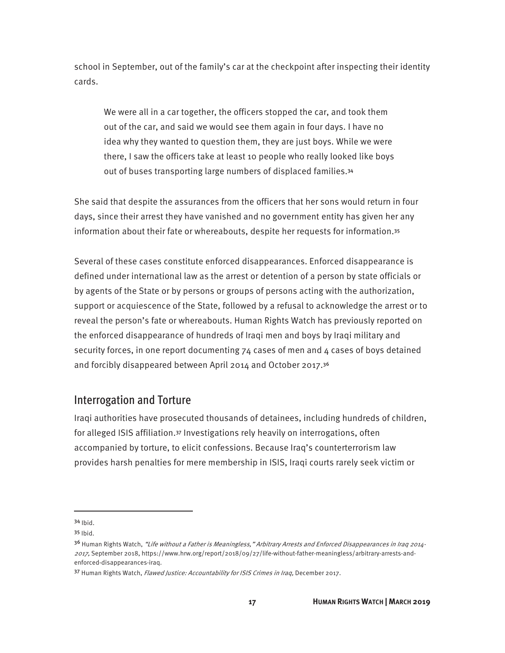school in September, out of the family's car at the checkpoint after inspecting their identity cards.

We were all in a car together, the officers stopped the car, and took them out of the car, and said we would see them again in four days. I have no idea why they wanted to question them, they are just boys. While we were there, I saw the officers take at least 10 people who really looked like boys out of buses transporting large numbers of displaced families.<sup>34</sup>

She said that despite the assurances from the officers that her sons would return in four days, since their arrest they have vanished and no government entity has given her any information about their fate or whereabouts, despite her requests for information.<sup>35</sup>

Several of these cases constitute enforced disappearances. Enforced disappearance is defined under international law as the arrest or detention of a person by state officials or by agents of the State or by persons or groups of persons acting with the authorization, support or acquiescence of the State, followed by a refusal to acknowledge the arrest or to reveal the person's fate or whereabouts. Human Rights Watch has previously reported on the enforced disappearance of hundreds of Iraqi men and boys by Iraqi military and security forces, in one report documenting  $74$  cases of men and  $4$  cases of boys detained and forcibly disappeared between April 2014 and October 2017.<sup>36</sup>

### Interrogation and Torture

Iraqi authorities have prosecuted thousands of detainees, including hundreds of children, for alleged ISIS affiliation.37 Investigations rely heavily on interrogations, often accompanied by torture, to elicit confessions. Because Iraq's counterterrorism law provides harsh penalties for mere membership in ISIS, Iraqi courts rarely seek victim or

-

<sup>34</sup> Ibid.

<sup>35</sup> Ibid.

<sup>&</sup>lt;sup>36</sup> Human Rights Watch, "Life without a Father is Meaningless," Arbitrary Arrests and Enforced Disappearances in Iraq 2014-2017, September 2018, https://www.hrw.org/report/2018/09/27/life-without-father-meaningless/arbitrary-arrests-andenforced-disappearances-iraq.

<sup>37</sup> Human Rights Watch, *Flawed Justice: Accountability for ISIS Crimes in Iraq*, December 2017.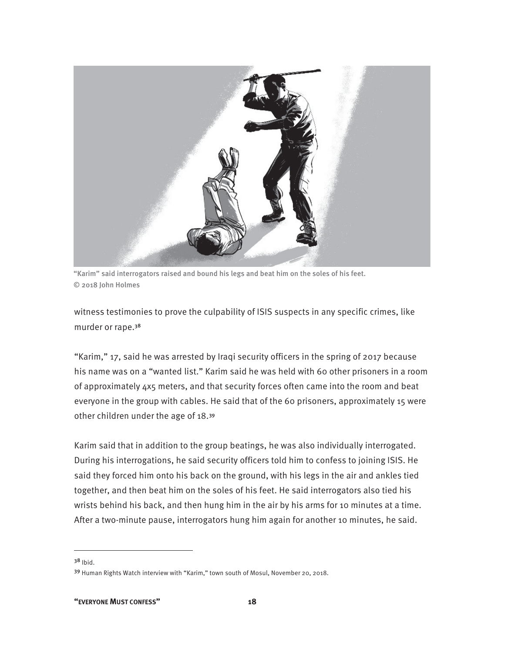

"Karim" said interrogators raised and bound his legs and beat him on the soles of his feet. © 2018 John Holmes

witness testimonies to prove the culpability of ISIS suspects in any specific crimes, like murder or rape.<sup>38</sup>

"Karim," 17, said he was arrested by Iraqi security officers in the spring of 2017 because his name was on a "wanted list." Karim said he was held with 60 other prisoners in a room of approximately 4x5 meters, and that security forces often came into the room and beat everyone in the group with cables. He said that of the 60 prisoners, approximately 15 were other children under the age of 18.<sup>39</sup>

Karim said that in addition to the group beatings, he was also individually interrogated. During his interrogations, he said security officers told him to confess to joining ISIS. He said they forced him onto his back on the ground, with his legs in the air and ankles tied together, and then beat him on the soles of his feet. He said interrogators also tied his wrists behind his back, and then hung him in the air by his arms for 10 minutes at a time. After a two-minute pause, interrogators hung him again for another 10 minutes, he said.

 $38$  Ibid.

<sup>39</sup> Human Rights Watch interview with "Karim," town south of Mosul, November 20, 2018.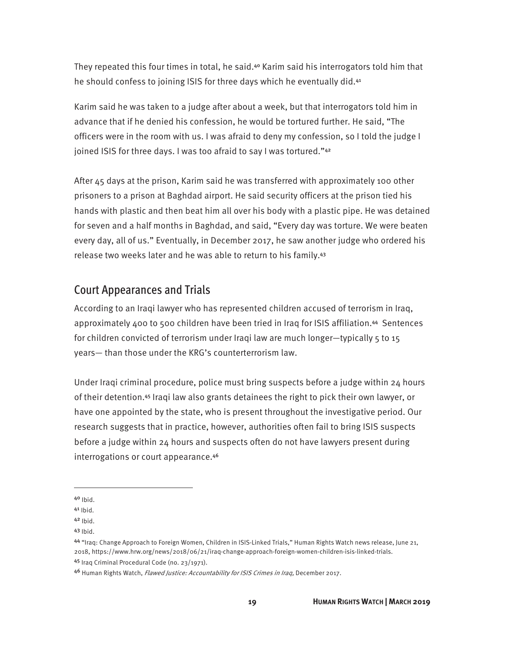They repeated this four times in total, he said.40 Karim said his interrogators told him that he should confess to joining ISIS for three days which he eventually did.<sup>41</sup>

Karim said he was taken to a judge after about a week, but that interrogators told him in advance that if he denied his confession, he would be tortured further. He said, "The officers were in the room with us. I was afraid to deny my confession, so I told the judge I joined ISIS for three days. I was too afraid to say I was tortured."42

After 45 days at the prison, Karim said he was transferred with approximately 100 other prisoners to a prison at Baghdad airport. He said security officers at the prison tied his hands with plastic and then beat him all over his body with a plastic pipe. He was detained for seven and a half months in Baghdad, and said, "Every day was torture. We were beaten every day, all of us." Eventually, in December 2017, he saw another judge who ordered his release two weeks later and he was able to return to his family.<sup>43</sup>

### Court Appearances and Trials

According to an Iraqi lawyer who has represented children accused of terrorism in Iraq, approximately 400 to 500 children have been tried in Iraq for ISIS affiliation.44 Sentences for children convicted of terrorism under Iraqi law are much longer—typically  $5$  to 15 years— than those under the KRG's counterterrorism law.

Under Iraqi criminal procedure, police must bring suspects before a judge within 24 hours of their detention.45 Iraqi law also grants detainees the right to pick their own lawyer, or have one appointed by the state, who is present throughout the investigative period. Our research suggests that in practice, however, authorities often fail to bring ISIS suspects before a judge within 24 hours and suspects often do not have lawyers present during interrogations or court appearance.<sup>46</sup>

<sup>40</sup> Ibid.

 $41$  Ibid.

 $42$  Ibid.

<sup>43</sup> Ibid.

<sup>44</sup> "Iraq: Change Approach to Foreign Women, Children in ISIS-Linked Trials," Human Rights Watch news release, June 21, 2018, https://www.hrw.org/news/2018/06/21/iraq-change-approach-foreign-women-children-isis-linked-trials. <sup>45</sup> Iraq Criminal Procedural Code (no. 23/1971).

<sup>46</sup> Human Rights Watch, Flawed Justice: Accountability for ISIS Crimes in Iraq, December 2017.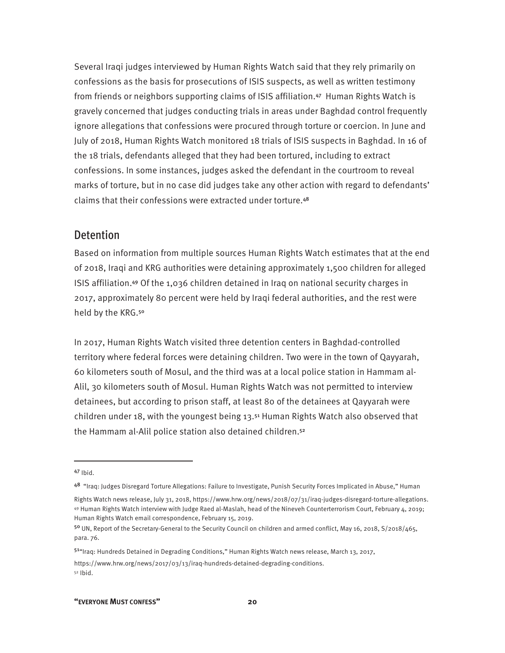Several Iraqi judges interviewed by Human Rights Watch said that they rely primarily on confessions as the basis for prosecutions of ISIS suspects, as well as written testimony from friends or neighbors supporting claims of ISIS affiliation.47 Human Rights Watch is gravely concerned that judges conducting trials in areas under Baghdad control frequently ignore allegations that confessions were procured through torture or coercion. In June and July of 2018, Human Rights Watch monitored 18 trials of ISIS suspects in Baghdad. In 16 of the 18 trials, defendants alleged that they had been tortured, including to extract confessions. In some instances, judges asked the defendant in the courtroom to reveal marks of torture, but in no case did judges take any other action with regard to defendants' claims that their confessions were extracted under torture.<sup>48</sup>

#### **Detention**

Based on information from multiple sources Human Rights Watch estimates that at the end of 2018, Iraqi and KRG authorities were detaining approximately 1,500 children for alleged ISIS affiliation.<sup>49</sup> Of the 1,036 children detained in Iraq on national security charges in 2017, approximately 80 percent were held by Iraqi federal authorities, and the rest were held by the KRG.<sup>50</sup>

In 2017, Human Rights Watch visited three detention centers in Baghdad-controlled territory where federal forces were detaining children. Two were in the town of Qayyarah, 60 kilometers south of Mosul, and the third was at a local police station in Hammam al-Alil, 30 kilometers south of Mosul. Human Rights Watch was not permitted to interview detainees, but according to prison staff, at least 80 of the detainees at Qayyarah were children under 18, with the youngest being 13.51 Human Rights Watch also observed that the Hammam al-Alil police station also detained children.<sup>52</sup>

 $\overline{a}$ 

https://www.hrw.org/news/2017/03/13/iraq-hundreds-detained-degrading-conditions. 52 Ibid.

<sup>47</sup> Ibid.

<sup>48</sup> "Iraq: Judges Disregard Torture Allegations: Failure to Investigate, Punish Security Forces Implicated in Abuse," Human

Rights Watch news release, July 31, 2018, https://www.hrw.org/news/2018/07/31/iraq-judges-disregard-torture-allegations. 49 Human Rights Watch interview with Judge Raed al-Maslah, head of the Nineveh Counterterrorism Court, February 4, 2019; Human Rights Watch email correspondence, February 15, 2019.

<sup>50</sup> UN, Report of the Secretary-General to the Security Council on children and armed conflict, May 16, 2018, S/2018/465, para. 76.

<sup>51&</sup>quot;Iraq: Hundreds Detained in Degrading Conditions," Human Rights Watch news release, March 13, 2017,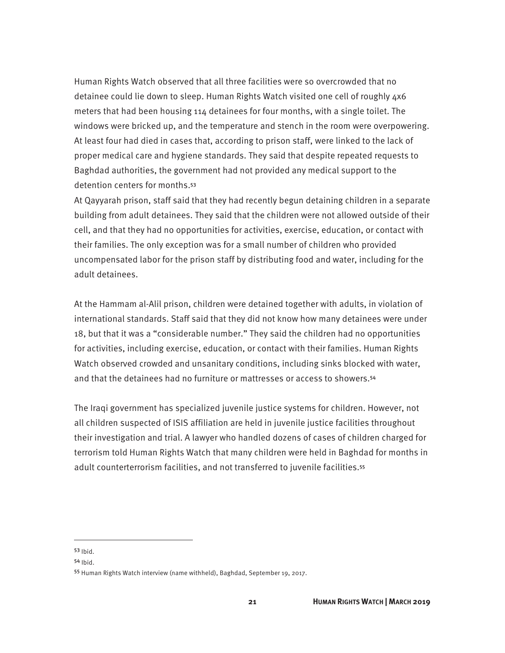Human Rights Watch observed that all three facilities were so overcrowded that no detainee could lie down to sleep. Human Rights Watch visited one cell of roughly 4x6 meters that had been housing 114 detainees for four months, with a single toilet. The windows were bricked up, and the temperature and stench in the room were overpowering. At least four had died in cases that, according to prison staff, were linked to the lack of proper medical care and hygiene standards. They said that despite repeated requests to Baghdad authorities, the government had not provided any medical support to the detention centers for months.<sup>53</sup>

At Qayyarah prison, staff said that they had recently begun detaining children in a separate building from adult detainees. They said that the children were not allowed outside of their cell, and that they had no opportunities for activities, exercise, education, or contact with their families. The only exception was for a small number of children who provided uncompensated labor for the prison staff by distributing food and water, including for the adult detainees.

At the Hammam al-Alil prison, children were detained together with adults, in violation of international standards. Staff said that they did not know how many detainees were under 18, but that it was a "considerable number." They said the children had no opportunities for activities, including exercise, education, or contact with their families. Human Rights Watch observed crowded and unsanitary conditions, including sinks blocked with water, and that the detainees had no furniture or mattresses or access to showers.<sup>54</sup>

The Iraqi government has specialized juvenile justice systems for children. However, not all children suspected of ISIS affiliation are held in juvenile justice facilities throughout their investigation and trial. A lawyer who handled dozens of cases of children charged for terrorism told Human Rights Watch that many children were held in Baghdad for months in adult counterterrorism facilities, and not transferred to juvenile facilities.<sup>55</sup>

<sup>53</sup> Ibid.

<sup>54</sup> Ibid.

<sup>55</sup> Human Rights Watch interview (name withheld), Baghdad, September 19, 2017.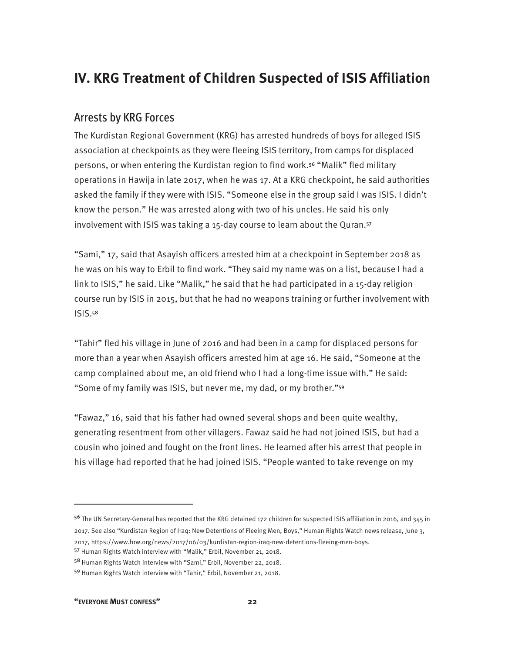## **IV. KRG Treatment of Children Suspected of ISIS Affiliation**

### Arrests by KRG Forces

The Kurdistan Regional Government (KRG) has arrested hundreds of boys for alleged ISIS association at checkpoints as they were fleeing ISIS territory, from camps for displaced persons, or when entering the Kurdistan region to find work.56 "Malik" fled military operations in Hawija in late 2017, when he was 17. At a KRG checkpoint, he said authorities asked the family if they were with ISIS. "Someone else in the group said I was ISIS. I didn't know the person." He was arrested along with two of his uncles. He said his only involvement with ISIS was taking a 15-day course to learn about the Quran.<sup>57</sup>

"Sami," 17, said that Asayish officers arrested him at a checkpoint in September 2018 as he was on his way to Erbil to find work. "They said my name was on a list, because I had a link to ISIS," he said. Like "Malik," he said that he had participated in a 15-day religion course run by ISIS in 2015, but that he had no weapons training or further involvement with ISIS.<sup>58</sup>

"Tahir" fled his village in June of 2016 and had been in a camp for displaced persons for more than a year when Asayish officers arrested him at age 16. He said, "Someone at the camp complained about me, an old friend who I had a long-time issue with." He said: "Some of my family was ISIS, but never me, my dad, or my brother."<sup>59</sup>

"Fawaz," 16, said that his father had owned several shops and been quite wealthy, generating resentment from other villagers. Fawaz said he had not joined ISIS, but had a cousin who joined and fought on the front lines. He learned after his arrest that people in his village had reported that he had joined ISIS. "People wanted to take revenge on my

**"EVERYONE MUST CONFESS" 22** 

<sup>56</sup> The UN Secretary-General has reported that the KRG detained 172 children for suspected ISIS affiliation in 2016, and 345 in 2017. See also "Kurdistan Region of Iraq: New Detentions of Fleeing Men, Boys," Human Rights Watch news release, June 3, 2017, https://www.hrw.org/news/2017/06/03/kurdistan-region-iraq-new-detentions-fleeing-men-boys.

<sup>57</sup> Human Rights Watch interview with "Malik," Erbil, November 21, 2018.

<sup>58</sup> Human Rights Watch interview with "Sami," Erbil, November 22, 2018.

<sup>59</sup> Human Rights Watch interview with "Tahir," Erbil, November 21, 2018.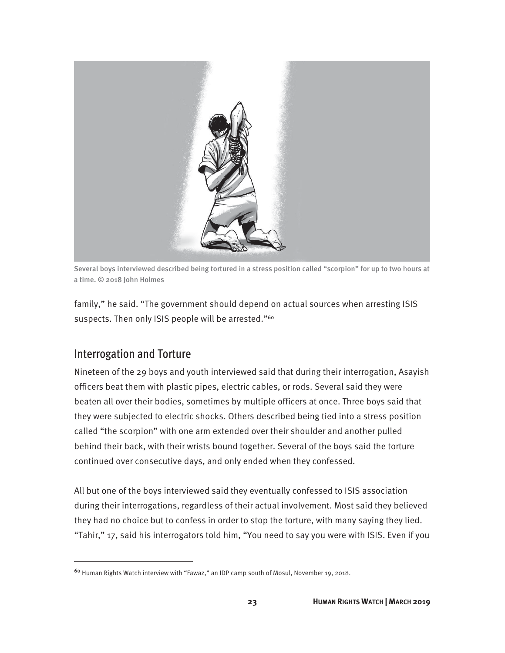

Several boys interviewed described being tortured in a stress position called "scorpion" for up to two hours at a time. © 2018 John Holmes

family," he said. "The government should depend on actual sources when arresting ISIS suspects. Then only ISIS people will be arrested."<sup>60</sup>

## Interrogation and Torture

 $\overline{a}$ 

Nineteen of the 29 boys and youth interviewed said that during their interrogation, Asayish officers beat them with plastic pipes, electric cables, or rods. Several said they were beaten all over their bodies, sometimes by multiple officers at once. Three boys said that they were subjected to electric shocks. Others described being tied into a stress position called "the scorpion" with one arm extended over their shoulder and another pulled behind their back, with their wrists bound together. Several of the boys said the torture continued over consecutive days, and only ended when they confessed.

All but one of the boys interviewed said they eventually confessed to ISIS association during their interrogations, regardless of their actual involvement. Most said they believed they had no choice but to confess in order to stop the torture, with many saying they lied. "Tahir," 17, said his interrogators told him, "You need to say you were with ISIS. Even if you

<sup>60</sup> Human Rights Watch interview with "Fawaz," an IDP camp south of Mosul, November 19, 2018.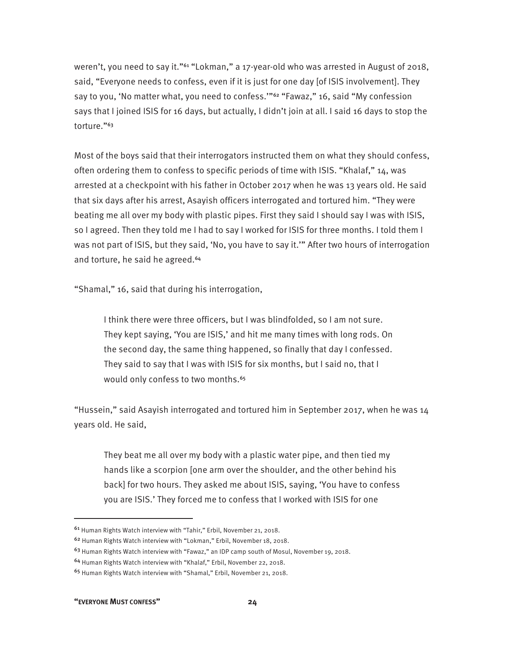weren't, you need to say it."<sup>61</sup> "Lokman," a 17-year-old who was arrested in August of 2018, said, "Everyone needs to confess, even if it is just for one day [of ISIS involvement]. They say to you, 'No matter what, you need to confess."<sup>62</sup> "Fawaz," 16, said "My confession says that I joined ISIS for 16 days, but actually, I didn't join at all. I said 16 days to stop the torture."<sup>63</sup>

Most of the boys said that their interrogators instructed them on what they should confess, often ordering them to confess to specific periods of time with ISIS. "Khalaf," 14, was arrested at a checkpoint with his father in October 2017 when he was 13 years old. He said that six days after his arrest, Asayish officers interrogated and tortured him. "They were beating me all over my body with plastic pipes. First they said I should say I was with ISIS, so I agreed. Then they told me I had to say I worked for ISIS for three months. I told them I was not part of ISIS, but they said, 'No, you have to say it.'" After two hours of interrogation and torture, he said he agreed.<sup>64</sup>

"Shamal," 16, said that during his interrogation,

I think there were three officers, but I was blindfolded, so I am not sure. They kept saying, 'You are ISIS,' and hit me many times with long rods. On the second day, the same thing happened, so finally that day I confessed. They said to say that I was with ISIS for six months, but I said no, that I would only confess to two months.<sup>65</sup>

"Hussein," said Asayish interrogated and tortured him in September 2017, when he was 14 years old. He said,

They beat me all over my body with a plastic water pipe, and then tied my hands like a scorpion [one arm over the shoulder, and the other behind his back] for two hours. They asked me about ISIS, saying, 'You have to confess you are ISIS.' They forced me to confess that I worked with ISIS for one

**"EVERYONE MUST CONFESS" 24** 

<sup>61</sup> Human Rights Watch interview with "Tahir," Erbil, November 21, 2018.

<sup>62</sup> Human Rights Watch interview with "Lokman," Erbil, November 18, 2018.

<sup>63</sup> Human Rights Watch interview with "Fawaz," an IDP camp south of Mosul, November 19, 2018.

<sup>64</sup> Human Rights Watch interview with "Khalaf," Erbil, November 22, 2018.

<sup>65</sup> Human Rights Watch interview with "Shamal," Erbil, November 21, 2018.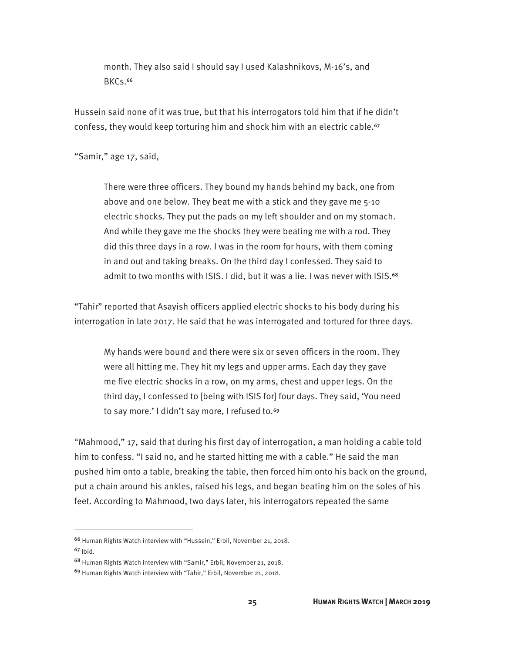month. They also said I should say I used Kalashnikovs, M-16's, and BKCs.<sup>66</sup>

Hussein said none of it was true, but that his interrogators told him that if he didn't confess, they would keep torturing him and shock him with an electric cable.<sup>67</sup>

"Samir," age 17, said,

There were three officers. They bound my hands behind my back, one from above and one below. They beat me with a stick and they gave me 5-10 electric shocks. They put the pads on my left shoulder and on my stomach. And while they gave me the shocks they were beating me with a rod. They did this three days in a row. I was in the room for hours, with them coming in and out and taking breaks. On the third day I confessed. They said to admit to two months with ISIS. I did, but it was a lie. I was never with ISIS.<sup>68</sup>

"Tahir" reported that Asayish officers applied electric shocks to his body during his interrogation in late 2017. He said that he was interrogated and tortured for three days.

My hands were bound and there were six or seven officers in the room. They were all hitting me. They hit my legs and upper arms. Each day they gave me five electric shocks in a row, on my arms, chest and upper legs. On the third day, I confessed to [being with ISIS for] four days. They said, 'You need to say more.' I didn't say more, I refused to.<sup>69</sup>

"Mahmood," 17, said that during his first day of interrogation, a man holding a cable told him to confess. "I said no, and he started hitting me with a cable." He said the man pushed him onto a table, breaking the table, then forced him onto his back on the ground, put a chain around his ankles, raised his legs, and began beating him on the soles of his feet. According to Mahmood, two days later, his interrogators repeated the same

<sup>66</sup> Human Rights Watch interview with "Hussein," Erbil, November 21, 2018.

<sup>67</sup> Ibid.

<sup>68</sup> Human Rights Watch interview with "Samir," Erbil, November 21, 2018.

<sup>69</sup> Human Rights Watch interview with "Tahir," Erbil, November 21, 2018.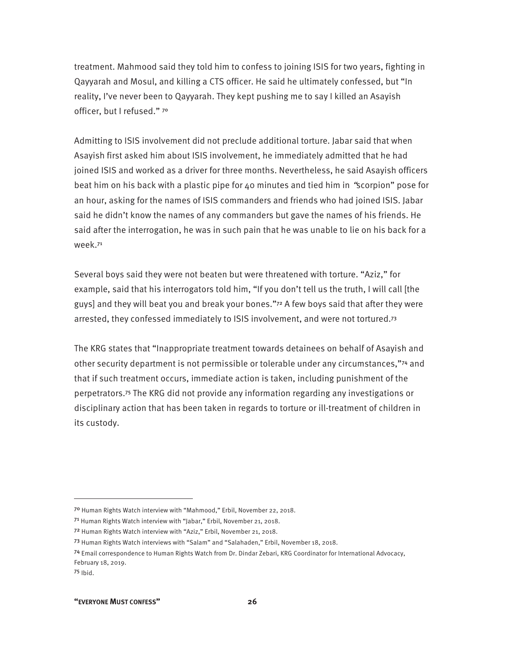treatment. Mahmood said they told him to confess to joining ISIS for two years, fighting in Qayyarah and Mosul, and killing a CTS officer. He said he ultimately confessed, but "In reality, I've never been to Qayyarah. They kept pushing me to say I killed an Asayish officer, but I refused." <sup>70</sup>

Admitting to ISIS involvement did not preclude additional torture. Jabar said that when Asayish first asked him about ISIS involvement, he immediately admitted that he had joined ISIS and worked as a driver for three months. Nevertheless, he said Asayish officers beat him on his back with a plastic pipe for 40 minutes and tied him in "scorpion" pose for an hour, asking for the names of ISIS commanders and friends who had joined ISIS. Jabar said he didn't know the names of any commanders but gave the names of his friends. He said after the interrogation, he was in such pain that he was unable to lie on his back for a week.<sup>71</sup>

Several boys said they were not beaten but were threatened with torture. "Aziz," for example, said that his interrogators told him, "If you don't tell us the truth, I will call [the guys] and they will beat you and break your bones."72 A few boys said that after they were arrested, they confessed immediately to ISIS involvement, and were not tortured.<sup>73</sup>

The KRG states that "Inappropriate treatment towards detainees on behalf of Asayish and other security department is not permissible or tolerable under any circumstances,"74 and that if such treatment occurs, immediate action is taken, including punishment of the perpetrators.75 The KRG did not provide any information regarding any investigations or disciplinary action that has been taken in regards to torture or ill-treatment of children in its custody.

-

<sup>70</sup> Human Rights Watch interview with "Mahmood," Erbil, November 22, 2018.

<sup>7&</sup>lt;sup>1</sup> Human Rights Watch interview with "Jabar," Erbil, November 21, 2018.

<sup>72</sup> Human Rights Watch interview with "Aziz," Erbil, November 21, 2018.

<sup>73</sup> Human Rights Watch interviews with "Salam" and "Salahaden," Erbil, November 18, 2018.

<sup>74</sup> Email correspondence to Human Rights Watch from Dr. Dindar Zebari, KRG Coordinator for International Advocacy, February 18, 2019.

<sup>75</sup> Ibid.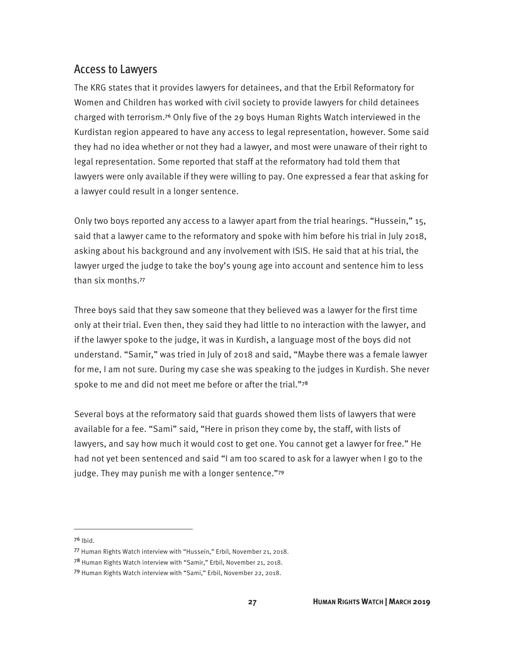### Access to Lawyers

The KRG states that it provides lawyers for detainees, and that the Erbil Reformatory for Women and Children has worked with civil society to provide lawyers for child detainees charged with terrorism.76 Only five of the 29 boys Human Rights Watch interviewed in the Kurdistan region appeared to have any access to legal representation, however. Some said they had no idea whether or not they had a lawyer, and most were unaware of their right to legal representation. Some reported that staff at the reformatory had told them that lawyers were only available if they were willing to pay. One expressed a fear that asking for a lawyer could result in a longer sentence.

Only two boys reported any access to a lawyer apart from the trial hearings. "Hussein," 15, said that a lawyer came to the reformatory and spoke with him before his trial in July 2018, asking about his background and any involvement with ISIS. He said that at his trial, the lawyer urged the judge to take the boy's young age into account and sentence him to less than six months.<sup>77</sup>

Three boys said that they saw someone that they believed was a lawyer for the first time only at their trial. Even then, they said they had little to no interaction with the lawyer, and if the lawyer spoke to the judge, it was in Kurdish, a language most of the boys did not understand. "Samir," was tried in July of 2018 and said, "Maybe there was a female lawyer for me, I am not sure. During my case she was speaking to the judges in Kurdish. She never spoke to me and did not meet me before or after the trial."78

Several boys at the reformatory said that guards showed them lists of lawyers that were available for a fee. "Sami" said, "Here in prison they come by, the staff, with lists of lawyers, and say how much it would cost to get one. You cannot get a lawyer for free." He had not yet been sentenced and said "I am too scared to ask for a lawyer when I go to the judge. They may punish me with a longer sentence."79

<sup>76</sup> Ibid.

<sup>77</sup> Human Rights Watch interview with "Hussein," Erbil, November 21, 2018.

<sup>78</sup> Human Rights Watch interview with "Samir," Erbil, November 21, 2018.

<sup>79</sup> Human Rights Watch interview with "Sami," Erbil, November 22, 2018.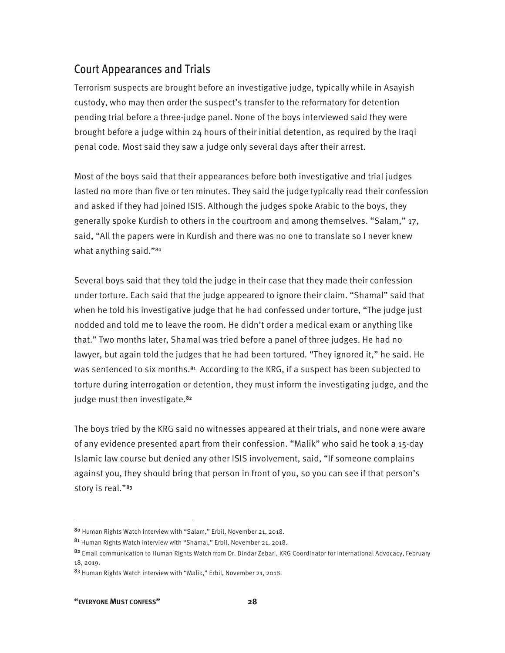## Court Appearances and Trials

Terrorism suspects are brought before an investigative judge, typically while in Asayish custody, who may then order the suspect's transfer to the reformatory for detention pending trial before a three-judge panel. None of the boys interviewed said they were brought before a judge within 24 hours of their initial detention, as required by the Iraqi penal code. Most said they saw a judge only several days after their arrest.

Most of the boys said that their appearances before both investigative and trial judges lasted no more than five or ten minutes. They said the judge typically read their confession and asked if they had joined ISIS. Although the judges spoke Arabic to the boys, they generally spoke Kurdish to others in the courtroom and among themselves. "Salam," 17, said, "All the papers were in Kurdish and there was no one to translate so I never knew what anything said."<sup>80</sup>

Several boys said that they told the judge in their case that they made their confession under torture. Each said that the judge appeared to ignore their claim. "Shamal" said that when he told his investigative judge that he had confessed under torture, "The judge just nodded and told me to leave the room. He didn't order a medical exam or anything like that." Two months later, Shamal was tried before a panel of three judges. He had no lawyer, but again told the judges that he had been tortured. "They ignored it," he said. He was sentenced to six months.<sup>81</sup> According to the KRG, if a suspect has been subjected to torture during interrogation or detention, they must inform the investigating judge, and the judge must then investigate.<sup>82</sup>

The boys tried by the KRG said no witnesses appeared at their trials, and none were aware of any evidence presented apart from their confession. "Malik" who said he took a 15-day Islamic law course but denied any other ISIS involvement, said, "If someone complains against you, they should bring that person in front of you, so you can see if that person's story is real."<sup>83</sup>

<sup>80</sup> Human Rights Watch interview with "Salam," Erbil, November 21, 2018.

<sup>81</sup> Human Rights Watch interview with "Shamal," Erbil, November 21, 2018.

<sup>82</sup> Email communication to Human Rights Watch from Dr. Dindar Zebari, KRG Coordinator for International Advocacy, February 18, 2019.

<sup>83</sup> Human Rights Watch interview with "Malik," Erbil, November 21, 2018.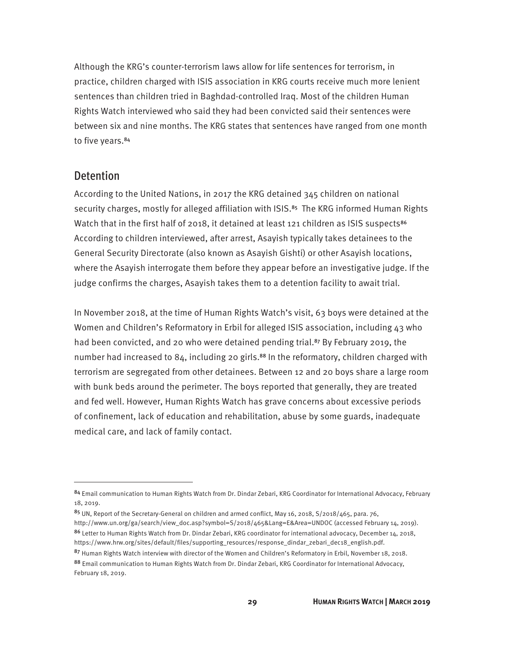Although the KRG's counter-terrorism laws allow for life sentences for terrorism, in practice, children charged with ISIS association in KRG courts receive much more lenient sentences than children tried in Baghdad-controlled Iraq. Most of the children Human Rights Watch interviewed who said they had been convicted said their sentences were between six and nine months. The KRG states that sentences have ranged from one month to five years.<sup>84</sup>

#### Detention

 $\overline{a}$ 

According to the United Nations, in 2017 the KRG detained 345 children on national security charges, mostly for alleged affiliation with ISIS.<sup>85</sup> The KRG informed Human Rights Watch that in the first half of 2018, it detained at least 121 children as ISIS suspects<sup>86</sup> According to children interviewed, after arrest, Asayish typically takes detainees to the General Security Directorate (also known as Asayish Gishti) or other Asayish locations, where the Asayish interrogate them before they appear before an investigative judge. If the judge confirms the charges, Asayish takes them to a detention facility to await trial.

In November 2018, at the time of Human Rights Watch's visit, 63 boys were detained at the Women and Children's Reformatory in Erbil for alleged ISIS association, including 43 who had been convicted, and 20 who were detained pending trial.<sup>87</sup> By February 2019, the number had increased to 84, including 20 girls.<sup>88</sup> In the reformatory, children charged with terrorism are segregated from other detainees. Between 12 and 20 boys share a large room with bunk beds around the perimeter. The boys reported that generally, they are treated and fed well. However, Human Rights Watch has grave concerns about excessive periods of confinement, lack of education and rehabilitation, abuse by some guards, inadequate medical care, and lack of family contact.

86 Letter to Human Rights Watch from Dr. Dindar Zebari, KRG coordinator for international advocacy, December 14, 2018, https://www.hrw.org/sites/default/files/supporting\_resources/response\_dindar\_zebari\_dec18\_english.pdf.

<sup>84</sup> Email communication to Human Rights Watch from Dr. Dindar Zebari, KRG Coordinator for International Advocacy, February 18, 2019.

<sup>85</sup> UN, Report of the Secretary-General on children and armed conflict, May 16, 2018, S/2018/465, para. 76, http://www.un.org/ga/search/view\_doc.asp?symbol=S/2018/465&Lang=E&Area=UNDOC (accessed February 14, 2019).

<sup>87</sup> Human Rights Watch interview with director of the Women and Children's Reformatory in Erbil, November 18, 2018.

<sup>88</sup> Email communication to Human Rights Watch from Dr. Dindar Zebari, KRG Coordinator for International Advocacy, February 18, 2019.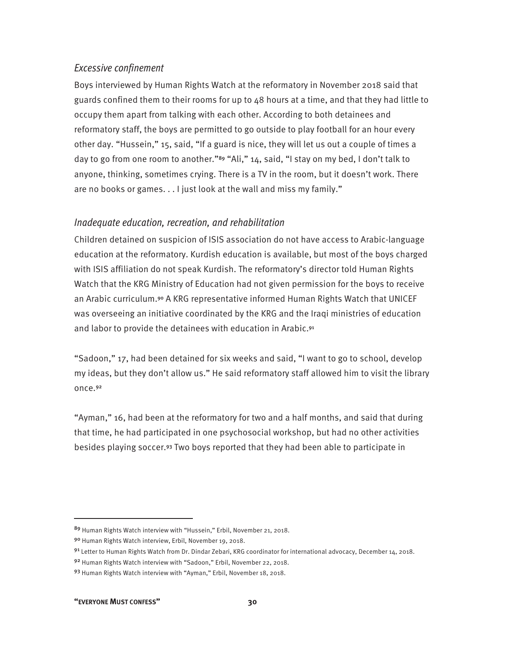#### *Excessive confinement*

Boys interviewed by Human Rights Watch at the reformatory in November 2018 said that guards confined them to their rooms for up to 48 hours at a time, and that they had little to occupy them apart from talking with each other. According to both detainees and reformatory staff, the boys are permitted to go outside to play football for an hour every other day. "Hussein," 15, said, "If a guard is nice, they will let us out a couple of times a day to go from one room to another."<sup>89</sup> "Ali," 14, said, "I stay on my bed, I don't talk to anyone, thinking, sometimes crying. There is a TV in the room, but it doesn't work. There are no books or games. . . I just look at the wall and miss my family."

#### *Inadequate education, recreation, and rehabilitation*

Children detained on suspicion of ISIS association do not have access to Arabic-language education at the reformatory. Kurdish education is available, but most of the boys charged with ISIS affiliation do not speak Kurdish. The reformatory's director told Human Rights Watch that the KRG Ministry of Education had not given permission for the boys to receive an Arabic curriculum.90 A KRG representative informed Human Rights Watch that UNICEF was overseeing an initiative coordinated by the KRG and the Iraqi ministries of education and labor to provide the detainees with education in Arabic.<sup>91</sup>

"Sadoon," 17, had been detained for six weeks and said, "I want to go to school, develop my ideas, but they don't allow us." He said reformatory staff allowed him to visit the library once.<sup>92</sup>

"Ayman," 16, had been at the reformatory for two and a half months, and said that during that time, he had participated in one psychosocial workshop, but had no other activities besides playing soccer.93 Two boys reported that they had been able to participate in

<sup>89</sup> Human Rights Watch interview with "Hussein," Erbil, November 21, 2018.

<sup>90</sup> Human Rights Watch interview, Erbil, November 19, 2018.

<sup>91</sup> Letter to Human Rights Watch from Dr. Dindar Zebari, KRG coordinator for international advocacy, December 14, 2018.

<sup>92</sup> Human Rights Watch interview with "Sadoon," Erbil, November 22, 2018.

<sup>93</sup> Human Rights Watch interview with "Ayman," Erbil, November 18, 2018.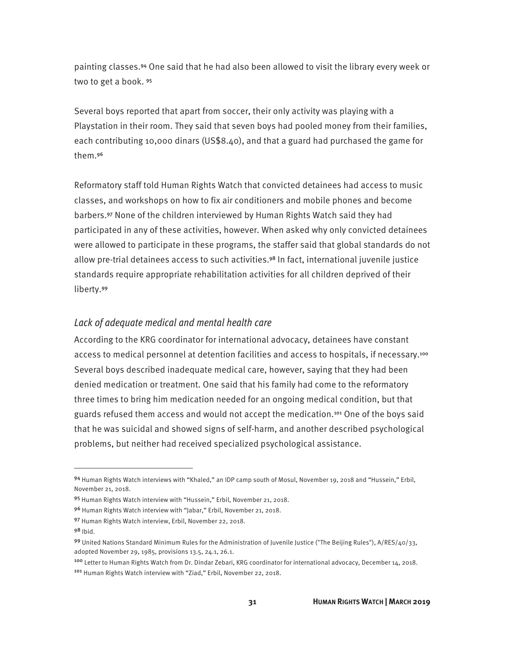painting classes.94 One said that he had also been allowed to visit the library every week or two to get a book. <sup>95</sup>

Several boys reported that apart from soccer, their only activity was playing with a Playstation in their room. They said that seven boys had pooled money from their families, each contributing 10,000 dinars (US\$8.40), and that a guard had purchased the game for them.<sup>96</sup>

Reformatory staff told Human Rights Watch that convicted detainees had access to music classes, and workshops on how to fix air conditioners and mobile phones and become barbers.97 None of the children interviewed by Human Rights Watch said they had participated in any of these activities, however. When asked why only convicted detainees were allowed to participate in these programs, the staffer said that global standards do not allow pre-trial detainees access to such activities.98 In fact, international juvenile justice standards require appropriate rehabilitation activities for all children deprived of their liberty.<sup>99</sup>

#### *Lack of adequate medical and mental health care*

According to the KRG coordinator for international advocacy, detainees have constant access to medical personnel at detention facilities and access to hospitals, if necessary.<sup>100</sup> Several boys described inadequate medical care, however, saying that they had been denied medication or treatment. One said that his family had come to the reformatory three times to bring him medication needed for an ongoing medical condition, but that guards refused them access and would not accept the medication.101 One of the boys said that he was suicidal and showed signs of self-harm, and another described psychological problems, but neither had received specialized psychological assistance.

<sup>94</sup> Human Rights Watch interviews with "Khaled," an IDP camp south of Mosul, November 19, 2018 and "Hussein," Erbil, November 21, 2018.

<sup>95</sup> Human Rights Watch interview with "Hussein," Erbil, November 21, 2018.

<sup>96</sup> Human Rights Watch interview with "Jabar," Erbil, November 21, 2018.

<sup>97</sup> Human Rights Watch interview, Erbil, November 22, 2018.

<sup>98</sup> Ibid.

<sup>99</sup> United Nations Standard Minimum Rules for the Administration of Juvenile Justice ("The Beijing Rules"), A/RES/40/33, adopted November 29, 1985, provisions 13.5, 24.1, 26.1.

<sup>100</sup> Letter to Human Rights Watch from Dr. Dindar Zebari, KRG coordinator for international advocacy, December 14, 2018. <sup>101</sup> Human Rights Watch interview with "Ziad," Erbil, November 22, 2018.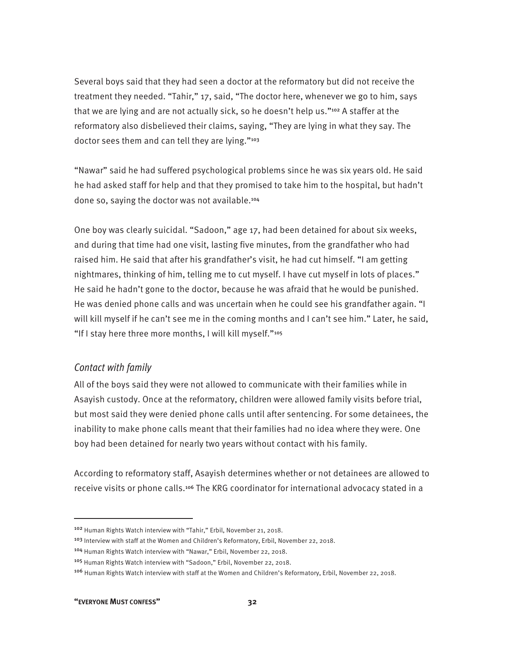Several boys said that they had seen a doctor at the reformatory but did not receive the treatment they needed. "Tahir," 17, said, "The doctor here, whenever we go to him, says that we are lying and are not actually sick, so he doesn't help us."102 A staffer at the reformatory also disbelieved their claims, saying, "They are lying in what they say. The doctor sees them and can tell they are lying."<sup>103</sup>

"Nawar" said he had suffered psychological problems since he was six years old. He said he had asked staff for help and that they promised to take him to the hospital, but hadn't done so, saying the doctor was not available.<sup>104</sup>

One boy was clearly suicidal. "Sadoon," age 17, had been detained for about six weeks, and during that time had one visit, lasting five minutes, from the grandfather who had raised him. He said that after his grandfather's visit, he had cut himself. "I am getting nightmares, thinking of him, telling me to cut myself. I have cut myself in lots of places." He said he hadn't gone to the doctor, because he was afraid that he would be punished. He was denied phone calls and was uncertain when he could see his grandfather again. "I will kill myself if he can't see me in the coming months and I can't see him." Later, he said, "If I stay here three more months, I will kill myself."<sup>105</sup>

#### *Contact with family*

All of the boys said they were not allowed to communicate with their families while in Asayish custody. Once at the reformatory, children were allowed family visits before trial, but most said they were denied phone calls until after sentencing. For some detainees, the inability to make phone calls meant that their families had no idea where they were. One boy had been detained for nearly two years without contact with his family.

According to reformatory staff, Asayish determines whether or not detainees are allowed to receive visits or phone calls.106 The KRG coordinator for international advocacy stated in a

<sup>102</sup> Human Rights Watch interview with "Tahir," Erbil, November 21, 2018.

<sup>&</sup>lt;sup>103</sup> Interview with staff at the Women and Children's Reformatory, Erbil, November 22, 2018.

<sup>104</sup> Human Rights Watch interview with "Nawar," Erbil, November 22, 2018.

<sup>105</sup> Human Rights Watch interview with "Sadoon," Erbil, November 22, 2018.

<sup>106</sup> Human Rights Watch interview with staff at the Women and Children's Reformatory, Erbil, November 22, 2018.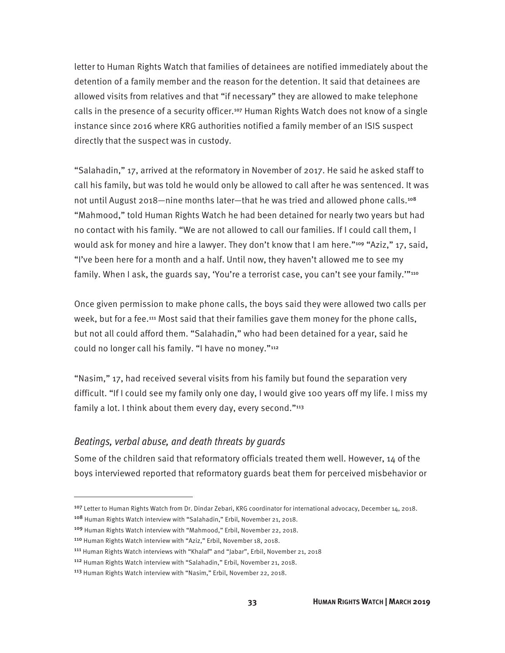letter to Human Rights Watch that families of detainees are notified immediately about the detention of a family member and the reason for the detention. It said that detainees are allowed visits from relatives and that "if necessary" they are allowed to make telephone calls in the presence of a security officer.107 Human Rights Watch does not know of a single instance since 2016 where KRG authorities notified a family member of an ISIS suspect directly that the suspect was in custody.

"Salahadin," 17, arrived at the reformatory in November of 2017. He said he asked staff to call his family, but was told he would only be allowed to call after he was sentenced. It was not until August 2018—nine months later—that he was tried and allowed phone calls.<sup>108</sup> "Mahmood," told Human Rights Watch he had been detained for nearly two years but had no contact with his family. "We are not allowed to call our families. If I could call them, I would ask for money and hire a lawyer. They don't know that I am here."<sup>109</sup> "Aziz," 17, said, "I've been here for a month and a half. Until now, they haven't allowed me to see my family. When I ask, the guards say, 'You're a terrorist case, you can't see your family.""110

Once given permission to make phone calls, the boys said they were allowed two calls per week, but for a fee.111 Most said that their families gave them money for the phone calls, but not all could afford them. "Salahadin," who had been detained for a year, said he could no longer call his family. "I have no money."<sup>112</sup>

"Nasim," 17, had received several visits from his family but found the separation very difficult. "If I could see my family only one day, I would give 100 years off my life. I miss my family a lot. I think about them every day, every second."<sup>113</sup>

#### *Beatings, verbal abuse, and death threats by guards*

Some of the children said that reformatory officials treated them well. However, 14 of the boys interviewed reported that reformatory guards beat them for perceived misbehavior or

<sup>107</sup> Letter to Human Rights Watch from Dr. Dindar Zebari, KRG coordinator for international advocacy, December 14, 2018.

<sup>108</sup> Human Rights Watch interview with "Salahadin," Erbil, November 21, 2018.

<sup>109</sup> Human Rights Watch interview with "Mahmood," Erbil, November 22, 2018.

<sup>110</sup> Human Rights Watch interview with "Aziz," Erbil, November 18, 2018.

<sup>111</sup> Human Rights Watch interviews with "Khalaf" and "Jabar", Erbil, November 21, 2018

<sup>112</sup> Human Rights Watch interview with "Salahadin," Erbil, November 21, 2018.

<sup>113</sup> Human Rights Watch interview with "Nasim," Erbil, November 22, 2018.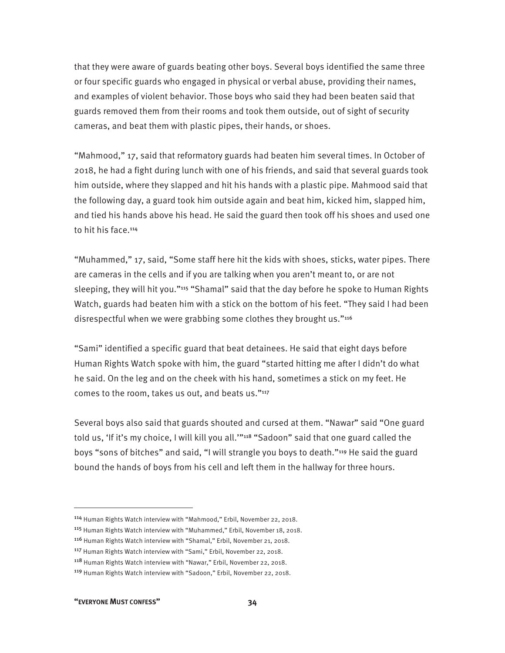that they were aware of guards beating other boys. Several boys identified the same three or four specific guards who engaged in physical or verbal abuse, providing their names, and examples of violent behavior. Those boys who said they had been beaten said that guards removed them from their rooms and took them outside, out of sight of security cameras, and beat them with plastic pipes, their hands, or shoes.

"Mahmood," 17, said that reformatory guards had beaten him several times. In October of 2018, he had a fight during lunch with one of his friends, and said that several guards took him outside, where they slapped and hit his hands with a plastic pipe. Mahmood said that the following day, a guard took him outside again and beat him, kicked him, slapped him, and tied his hands above his head. He said the guard then took off his shoes and used one to hit his face.<sup>114</sup>

"Muhammed," 17, said, "Some staff here hit the kids with shoes, sticks, water pipes. There are cameras in the cells and if you are talking when you aren't meant to, or are not sleeping, they will hit you."115 "Shamal" said that the day before he spoke to Human Rights Watch, guards had beaten him with a stick on the bottom of his feet. "They said I had been disrespectful when we were grabbing some clothes they brought us."<sup>116</sup>

"Sami" identified a specific guard that beat detainees. He said that eight days before Human Rights Watch spoke with him, the guard "started hitting me after I didn't do what he said. On the leg and on the cheek with his hand, sometimes a stick on my feet. He comes to the room, takes us out, and beats us."<sup>117</sup>

Several boys also said that guards shouted and cursed at them. "Nawar" said "One guard told us, 'If it's my choice, I will kill you all.""<sup>118</sup> "Sadoon" said that one guard called the boys "sons of bitches" and said, "I will strangle you boys to death."119 He said the guard bound the hands of boys from his cell and left them in the hallway for three hours.

<sup>114</sup> Human Rights Watch interview with "Mahmood," Erbil, November 22, 2018.

<sup>115</sup> Human Rights Watch interview with "Muhammed," Erbil, November 18, 2018.

<sup>116</sup> Human Rights Watch interview with "Shamal," Erbil, November 21, 2018.

<sup>117</sup> Human Rights Watch interview with "Sami," Erbil, November 22, 2018.

<sup>118</sup> Human Rights Watch interview with "Nawar," Erbil, November 22, 2018.

<sup>119</sup> Human Rights Watch interview with "Sadoon," Erbil, November 22, 2018.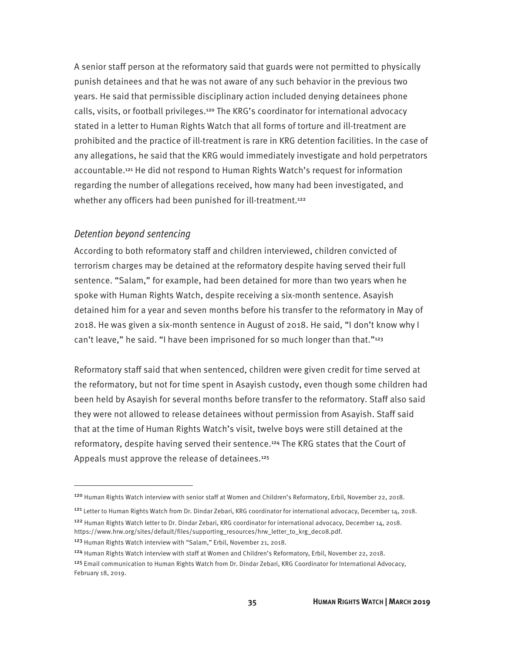A senior staff person at the reformatory said that guards were not permitted to physically punish detainees and that he was not aware of any such behavior in the previous two years. He said that permissible disciplinary action included denying detainees phone calls, visits, or football privileges.120 The KRG's coordinator for international advocacy stated in a letter to Human Rights Watch that all forms of torture and ill-treatment are prohibited and the practice of ill-treatment is rare in KRG detention facilities. In the case of any allegations, he said that the KRG would immediately investigate and hold perpetrators accountable.121 He did not respond to Human Rights Watch's request for information regarding the number of allegations received, how many had been investigated, and whether any officers had been punished for ill-treatment.<sup>122</sup>

#### *Detention beyond sentencing*

 $\overline{a}$ 

According to both reformatory staff and children interviewed, children convicted of terrorism charges may be detained at the reformatory despite having served their full sentence. "Salam," for example, had been detained for more than two years when he spoke with Human Rights Watch, despite receiving a six-month sentence. Asayish detained him for a year and seven months before his transfer to the reformatory in May of 2018. He was given a six-month sentence in August of 2018. He said, "I don't know why I can't leave," he said. "I have been imprisoned for so much longer than that."<sup>123</sup>

Reformatory staff said that when sentenced, children were given credit for time served at the reformatory, but not for time spent in Asayish custody, even though some children had been held by Asayish for several months before transfer to the reformatory. Staff also said they were not allowed to release detainees without permission from Asayish. Staff said that at the time of Human Rights Watch's visit, twelve boys were still detained at the reformatory, despite having served their sentence.124 The KRG states that the Court of Appeals must approve the release of detainees.<sup>125</sup>

<sup>122</sup> Human Rights Watch letter to Dr. Dindar Zebari, KRG coordinator for international advocacy, December 14, 2018. https://www.hrw.org/sites/default/files/supporting\_resources/hrw\_letter\_to\_krg\_dec08.pdf.

<sup>120</sup> Human Rights Watch interview with senior staff at Women and Children's Reformatory, Erbil, November 22, 2018.

<sup>&</sup>lt;sup>121</sup> Letter to Human Rights Watch from Dr. Dindar Zebari, KRG coordinator for international advocacy, December 14, 2018.

<sup>123</sup> Human Rights Watch interview with "Salam," Erbil, November 21, 2018.

<sup>124</sup> Human Rights Watch interview with staff at Women and Children's Reformatory, Erbil, November 22, 2018.

<sup>&</sup>lt;sup>125</sup> Email communication to Human Rights Watch from Dr. Dindar Zebari, KRG Coordinator for International Advocacy, February 18, 2019.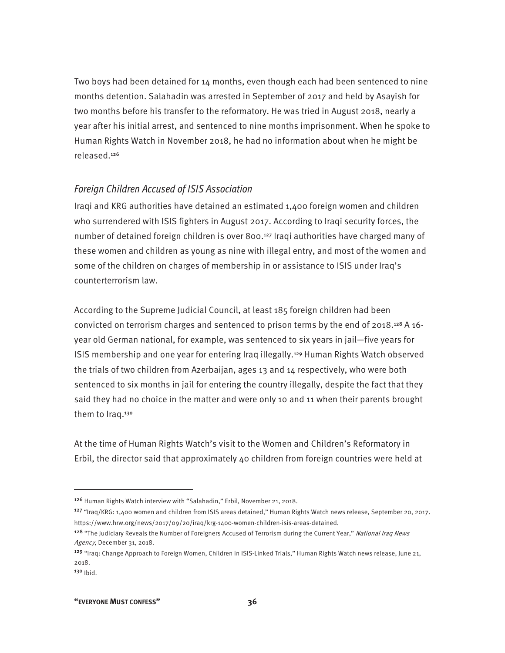Two boys had been detained for 14 months, even though each had been sentenced to nine months detention. Salahadin was arrested in September of 2017 and held by Asayish for two months before his transfer to the reformatory. He was tried in August 2018, nearly a year after his initial arrest, and sentenced to nine months imprisonment. When he spoke to Human Rights Watch in November 2018, he had no information about when he might be released.<sup>126</sup>

#### *Foreign Children Accused of ISIS Association*

Iraqi and KRG authorities have detained an estimated 1,400 foreign women and children who surrendered with ISIS fighters in August 2017. According to Iraqi security forces, the number of detained foreign children is over 800.127 Iraqi authorities have charged many of these women and children as young as nine with illegal entry, and most of the women and some of the children on charges of membership in or assistance to ISIS under Iraq's counterterrorism law.

According to the Supreme Judicial Council, at least 185 foreign children had been convicted on terrorism charges and sentenced to prison terms by the end of 2018.128 A 16 year old German national, for example, was sentenced to six years in jail—five years for ISIS membership and one year for entering Iraq illegally.129 Human Rights Watch observed the trials of two children from Azerbaijan, ages 13 and 14 respectively, who were both sentenced to six months in jail for entering the country illegally, despite the fact that they said they had no choice in the matter and were only 10 and 11 when their parents brought them to Iraq.<sup>130</sup>

At the time of Human Rights Watch's visit to the Women and Children's Reformatory in Erbil, the director said that approximately 40 children from foreign countries were held at

<u>.</u>

<sup>126</sup> Human Rights Watch interview with "Salahadin," Erbil, November 21, 2018.

<sup>127 &</sup>quot;Iraq/KRG: 1,400 women and children from ISIS areas detained," Human Rights Watch news release, September 20, 2017. https://www.hrw.org/news/2017/09/20/iraq/krg-1400-women-children-isis-areas-detained.

<sup>&</sup>lt;sup>128</sup> "The Judiciary Reveals the Number of Foreigners Accused of Terrorism during the Current Year," National Iraq News Agency, December 31, 2018.

<sup>129</sup> "Iraq: Change Approach to Foreign Women, Children in ISIS-Linked Trials," Human Rights Watch news release, June 21, 2018.

<sup>130</sup> Ibid.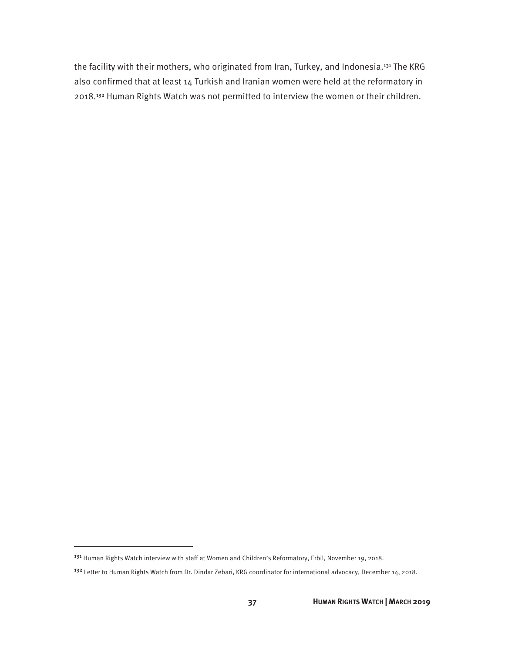the facility with their mothers, who originated from Iran, Turkey, and Indonesia.<sup>131</sup> The KRG also confirmed that at least 14 Turkish and Iranian women were held at the reformatory in 2018.132 Human Rights Watch was not permitted to interview the women or their children.

<sup>131</sup> Human Rights Watch interview with staff at Women and Children's Reformatory, Erbil, November 19, 2018.

<sup>&</sup>lt;sup>132</sup> Letter to Human Rights Watch from Dr. Dindar Zebari, KRG coordinator for international advocacy, December 14, 2018.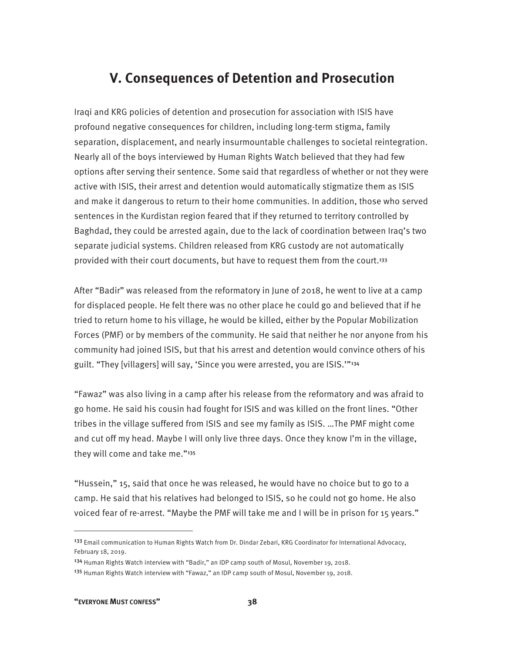## **V. Consequences of Detention and Prosecution**

Iraqi and KRG policies of detention and prosecution for association with ISIS have profound negative consequences for children, including long-term stigma, family separation, displacement, and nearly insurmountable challenges to societal reintegration. Nearly all of the boys interviewed by Human Rights Watch believed that they had few options after serving their sentence. Some said that regardless of whether or not they were active with ISIS, their arrest and detention would automatically stigmatize them as ISIS and make it dangerous to return to their home communities. In addition, those who served sentences in the Kurdistan region feared that if they returned to territory controlled by Baghdad, they could be arrested again, due to the lack of coordination between Iraq's two separate judicial systems. Children released from KRG custody are not automatically provided with their court documents, but have to request them from the court.<sup>133</sup>

After "Badir" was released from the reformatory in June of 2018, he went to live at a camp for displaced people. He felt there was no other place he could go and believed that if he tried to return home to his village, he would be killed, either by the Popular Mobilization Forces (PMF) or by members of the community. He said that neither he nor anyone from his community had joined ISIS, but that his arrest and detention would convince others of his guilt. "They [villagers] will say, 'Since you were arrested, you are ISIS.'"<sup>134</sup>

"Fawaz" was also living in a camp after his release from the reformatory and was afraid to go home. He said his cousin had fought for ISIS and was killed on the front lines. "Other tribes in the village suffered from ISIS and see my family as ISIS. …The PMF might come and cut off my head. Maybe I will only live three days. Once they know I'm in the village, they will come and take me."<sup>135</sup>

"Hussein," 15, said that once he was released, he would have no choice but to go to a camp. He said that his relatives had belonged to ISIS, so he could not go home. He also voiced fear of re-arrest. "Maybe the PMF will take me and I will be in prison for 15 years."

<sup>&</sup>lt;sup>133</sup> Email communication to Human Rights Watch from Dr. Dindar Zebari, KRG Coordinator for International Advocacy, February 18, 2019.

<sup>134</sup> Human Rights Watch interview with "Badir," an IDP camp south of Mosul, November 19, 2018.

<sup>&</sup>lt;sup>135</sup> Human Rights Watch interview with "Fawaz," an IDP camp south of Mosul, November 19, 2018.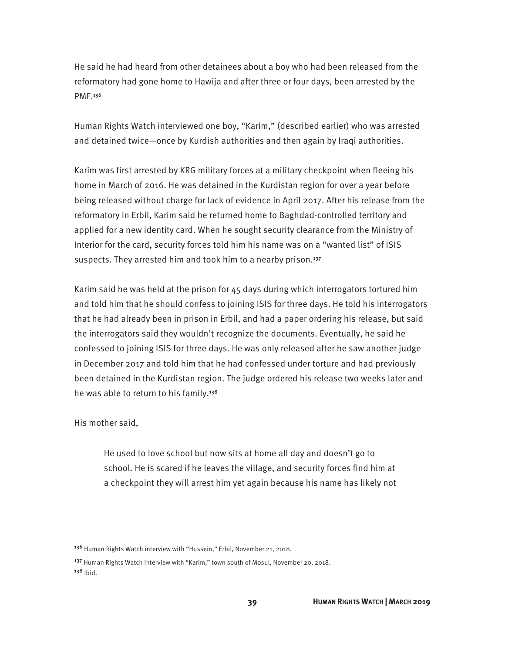He said he had heard from other detainees about a boy who had been released from the reformatory had gone home to Hawija and after three or four days, been arrested by the PMF.<sup>136</sup>

Human Rights Watch interviewed one boy, "Karim," (described earlier) who was arrested and detained twice—once by Kurdish authorities and then again by Iraqi authorities.

Karim was first arrested by KRG military forces at a military checkpoint when fleeing his home in March of 2016. He was detained in the Kurdistan region for over a year before being released without charge for lack of evidence in April 2017. After his release from the reformatory in Erbil, Karim said he returned home to Baghdad-controlled territory and applied for a new identity card. When he sought security clearance from the Ministry of Interior for the card, security forces told him his name was on a "wanted list" of ISIS suspects. They arrested him and took him to a nearby prison.<sup>137</sup>

Karim said he was held at the prison for 45 days during which interrogators tortured him and told him that he should confess to joining ISIS for three days. He told his interrogators that he had already been in prison in Erbil, and had a paper ordering his release, but said the interrogators said they wouldn't recognize the documents. Eventually, he said he confessed to joining ISIS for three days. He was only released after he saw another judge in December 2017 and told him that he had confessed under torture and had previously been detained in the Kurdistan region. The judge ordered his release two weeks later and he was able to return to his family.<sup>138</sup>

His mother said,

 $\overline{a}$ 

He used to love school but now sits at home all day and doesn't go to school. He is scared if he leaves the village, and security forces find him at a checkpoint they will arrest him yet again because his name has likely not

<sup>136</sup> Human Rights Watch interview with "Hussein," Erbil, November 21, 2018.

<sup>&</sup>lt;sup>137</sup> Human Rights Watch interview with "Karim," town south of Mosul, November 20, 2018.  $138$  Ibid.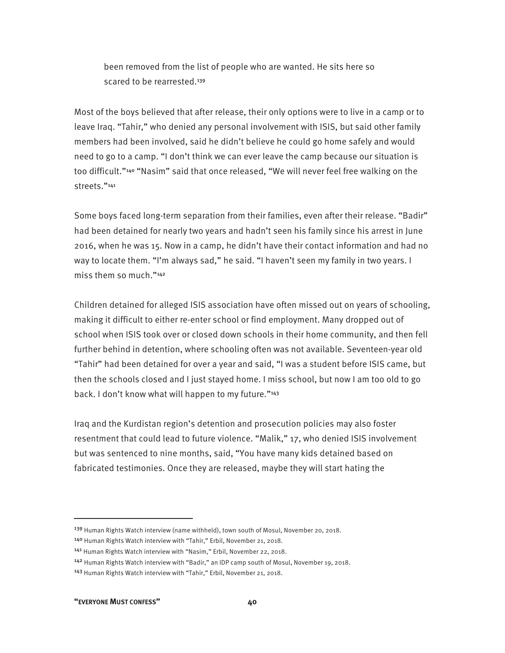been removed from the list of people who are wanted. He sits here so scared to be rearrested.<sup>139</sup>

Most of the boys believed that after release, their only options were to live in a camp or to leave Iraq. "Tahir," who denied any personal involvement with ISIS, but said other family members had been involved, said he didn't believe he could go home safely and would need to go to a camp. "I don't think we can ever leave the camp because our situation is too difficult."140 "Nasim" said that once released, "We will never feel free walking on the streets."<sup>141</sup>

Some boys faced long-term separation from their families, even after their release. "Badir" had been detained for nearly two years and hadn't seen his family since his arrest in June 2016, when he was 15. Now in a camp, he didn't have their contact information and had no way to locate them. "I'm always sad," he said. "I haven't seen my family in two years. I miss them so much."<sup>142</sup>

Children detained for alleged ISIS association have often missed out on years of schooling, making it difficult to either re-enter school or find employment. Many dropped out of school when ISIS took over or closed down schools in their home community, and then fell further behind in detention, where schooling often was not available. Seventeen-year old "Tahir" had been detained for over a year and said, "I was a student before ISIS came, but then the schools closed and I just stayed home. I miss school, but now I am too old to go back. I don't know what will happen to my future."143

Iraq and the Kurdistan region's detention and prosecution policies may also foster resentment that could lead to future violence. "Malik," 17, who denied ISIS involvement but was sentenced to nine months, said, "You have many kids detained based on fabricated testimonies. Once they are released, maybe they will start hating the

<sup>139</sup> Human Rights Watch interview (name withheld), town south of Mosul, November 20, 2018.

<sup>140</sup> Human Rights Watch interview with "Tahir," Erbil, November 21, 2018.

<sup>141</sup> Human Rights Watch interview with "Nasim," Erbil, November 22, 2018.

<sup>142</sup> Human Rights Watch interview with "Badir," an IDP camp south of Mosul, November 19, 2018.

<sup>143</sup> Human Rights Watch interview with "Tahir," Erbil, November 21, 2018.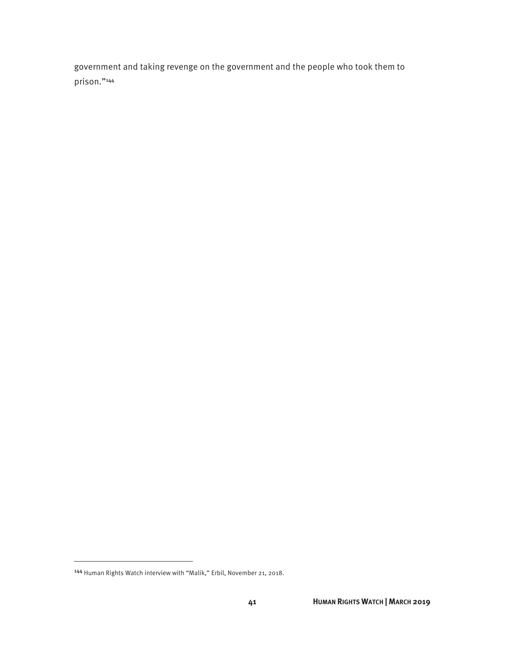government and taking revenge on the government and the people who took them to prison."<sup>144</sup>

<sup>144</sup> Human Rights Watch interview with "Malik," Erbil, November 21, 2018.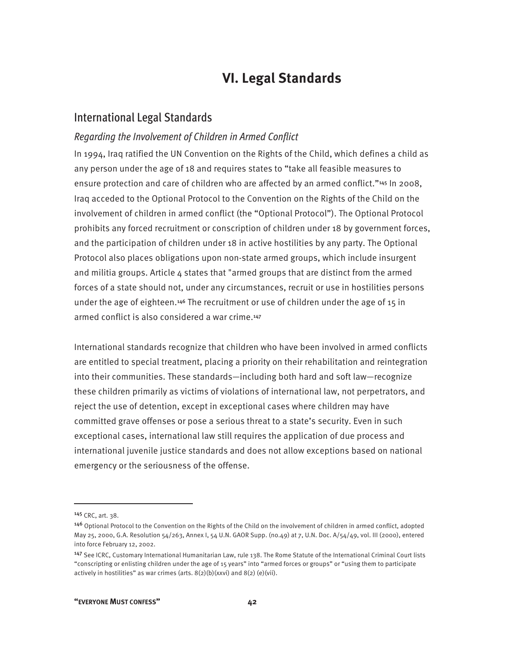## **VI. Legal Standards**

### International Legal Standards

#### *Regarding the Involvement of Children in Armed Conflict*

In 1994, Iraq ratified the UN Convention on the Rights of the Child, which defines a child as any person under the age of 18 and requires states to "take all feasible measures to ensure protection and care of children who are affected by an armed conflict."<sup>145</sup> In 2008, Iraq acceded to the Optional Protocol to the Convention on the Rights of the Child on the involvement of children in armed conflict (the "Optional Protocol"). The Optional Protocol prohibits any forced recruitment or conscription of children under 18 by government forces, and the participation of children under 18 in active hostilities by any party. The Optional Protocol also places obligations upon non-state armed groups, which include insurgent and militia groups. Article  $4$  states that "armed groups that are distinct from the armed forces of a state should not, under any circumstances, recruit or use in hostilities persons under the age of eighteen.146 The recruitment or use of children under the age of 15 in armed conflict is also considered a war crime.<sup>147</sup>

International standards recognize that children who have been involved in armed conflicts are entitled to special treatment, placing a priority on their rehabilitation and reintegration into their communities. These standards—including both hard and soft law—recognize these children primarily as victims of violations of international law, not perpetrators, and reject the use of detention, except in exceptional cases where children may have committed grave offenses or pose a serious threat to a state's security. Even in such exceptional cases, international law still requires the application of due process and international juvenile justice standards and does not allow exceptions based on national emergency or the seriousness of the offense.

<sup>145</sup> CRC, art. 38.

<sup>146</sup> Optional Protocol to the Convention on the Rights of the Child on the involvement of children in armed conflict, adopted May 25, 2000, G.A. Resolution 54/263, Annex I, 54 U.N. GAOR Supp. (no.49) at 7, U.N. Doc. A/54/49, vol. III (2000), entered into force February 12, 2002.

<sup>147</sup> See ICRC, Customary International Humanitarian Law, rule 138. The Rome Statute of the International Criminal Court lists "conscripting or enlisting children under the age of 15 years" into "armed forces or groups" or "using them to participate actively in hostilities" as war crimes (arts.  $8(2)(b)(xxvi)$  and  $8(2)(e)(vii)$ .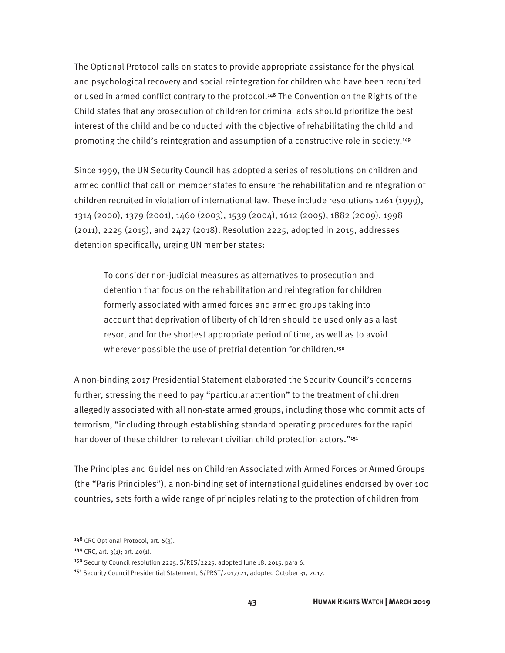The Optional Protocol calls on states to provide appropriate assistance for the physical and psychological recovery and social reintegration for children who have been recruited or used in armed conflict contrary to the protocol.<sup>148</sup> The Convention on the Rights of the Child states that any prosecution of children for criminal acts should prioritize the best interest of the child and be conducted with the objective of rehabilitating the child and promoting the child's reintegration and assumption of a constructive role in society.<sup>149</sup>

Since 1999, the UN Security Council has adopted a series of resolutions on children and armed conflict that call on member states to ensure the rehabilitation and reintegration of children recruited in violation of international law. These include resolutions 1261 (1999), 1314 (2000), 1379 (2001), 1460 (2003), 1539 (2004), 1612 (2005), 1882 (2009), 1998 (2011), 2225 (2015), and 2427 (2018). Resolution 2225, adopted in 2015, addresses detention specifically, urging UN member states:

To consider non-judicial measures as alternatives to prosecution and detention that focus on the rehabilitation and reintegration for children formerly associated with armed forces and armed groups taking into account that deprivation of liberty of children should be used only as a last resort and for the shortest appropriate period of time, as well as to avoid wherever possible the use of pretrial detention for children.<sup>150</sup>

A non-binding 2017 Presidential Statement elaborated the Security Council's concerns further, stressing the need to pay "particular attention" to the treatment of children allegedly associated with all non-state armed groups, including those who commit acts of terrorism, "including through establishing standard operating procedures for the rapid handover of these children to relevant civilian child protection actors."<sup>151</sup>

The Principles and Guidelines on Children Associated with Armed Forces or Armed Groups (the "Paris Principles"), a non-binding set of international guidelines endorsed by over 100 countries, sets forth a wide range of principles relating to the protection of children from

<sup>148</sup> CRC Optional Protocol, art. 6(3).

<sup>149</sup> CRC, art. 3(1); art. 40(1).

<sup>&</sup>lt;sup>150</sup> Security Council resolution 2225, S/RES/2225, adopted June 18, 2015, para 6.

<sup>151</sup> Security Council Presidential Statement, S/PRST/2017/21, adopted October 31, 2017.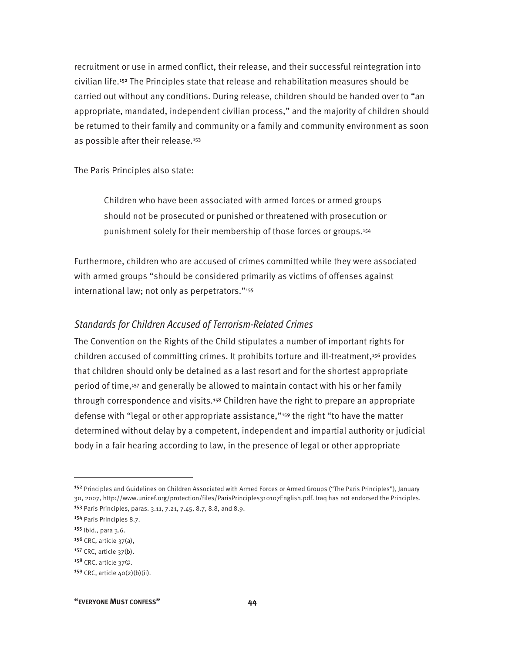recruitment or use in armed conflict, their release, and their successful reintegration into civilian life.152 The Principles state that release and rehabilitation measures should be carried out without any conditions. During release, children should be handed over to "an appropriate, mandated, independent civilian process," and the majority of children should be returned to their family and community or a family and community environment as soon as possible after their release.<sup>153</sup>

The Paris Principles also state:

Children who have been associated with armed forces or armed groups should not be prosecuted or punished or threatened with prosecution or punishment solely for their membership of those forces or groups.<sup>154</sup>

Furthermore, children who are accused of crimes committed while they were associated with armed groups "should be considered primarily as victims of offenses against international law; not only as perpetrators."<sup>155</sup>

#### *Standards for Children Accused of Terrorism-Related Crimes*

The Convention on the Rights of the Child stipulates a number of important rights for children accused of committing crimes. It prohibits torture and ill-treatment,156 provides that children should only be detained as a last resort and for the shortest appropriate period of time,157 and generally be allowed to maintain contact with his or her family through correspondence and visits.<sup>158</sup> Children have the right to prepare an appropriate defense with "legal or other appropriate assistance,"159 the right "to have the matter determined without delay by a competent, independent and impartial authority or judicial body in a fair hearing according to law, in the presence of legal or other appropriate

 $\overline{a}$ 

**"EVERYONE MUST CONFESS" 44** 

<sup>152</sup> Principles and Guidelines on Children Associated with Armed Forces or Armed Groups ("The Paris Principles"), January 30, 2007, http://www.unicef.org/protection/files/ParisPrinciples310107English.pdf. Iraq has not endorsed the Principles. <sup>153</sup> Paris Principles, paras. 3.11, 7.21, 7.45, 8.7, 8.8, and 8.9.

<sup>154</sup> Paris Principles 8.7.

<sup>155</sup> Ibid., para 3.6.

 $156$  CRC, article  $37(a)$ ,

<sup>157</sup> CRC, article 37(b).

<sup>158</sup> CRC, article 37©.

<sup>159</sup> CRC, article  $40(2)(b)(ii)$ .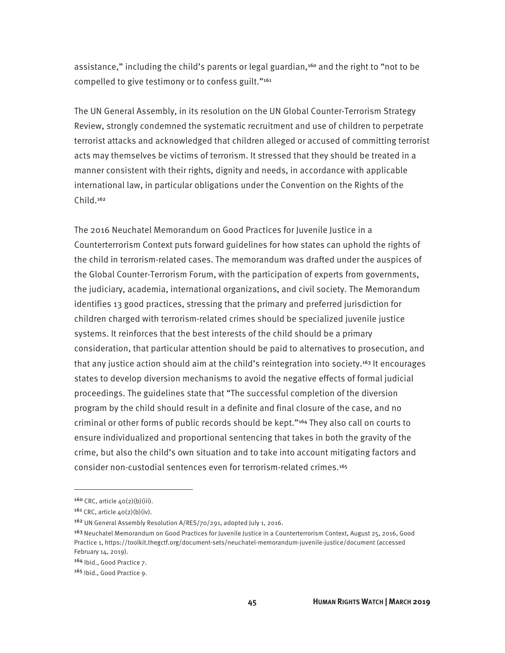assistance," including the child's parents or legal guardian, $160$  and the right to "not to be compelled to give testimony or to confess guilt."<sup>161</sup>

The UN General Assembly, in its resolution on the UN Global Counter-Terrorism Strategy Review, strongly condemned the systematic recruitment and use of children to perpetrate terrorist attacks and acknowledged that children alleged or accused of committing terrorist acts may themselves be victims of terrorism. It stressed that they should be treated in a manner consistent with their rights, dignity and needs, in accordance with applicable international law, in particular obligations under the Convention on the Rights of the Child.<sup>162</sup>

The 2016 Neuchatel Memorandum on Good Practices for Juvenile Justice in a Counterterrorism Context puts forward guidelines for how states can uphold the rights of the child in terrorism-related cases. The memorandum was drafted under the auspices of the Global Counter-Terrorism Forum, with the participation of experts from governments, the judiciary, academia, international organizations, and civil society. The Memorandum identifies 13 good practices, stressing that the primary and preferred jurisdiction for children charged with terrorism-related crimes should be specialized juvenile justice systems. It reinforces that the best interests of the child should be a primary consideration, that particular attention should be paid to alternatives to prosecution, and that any justice action should aim at the child's reintegration into society.<sup>163</sup> It encourages states to develop diversion mechanisms to avoid the negative effects of formal judicial proceedings. The guidelines state that "The successful completion of the diversion program by the child should result in a definite and final closure of the case, and no criminal or other forms of public records should be kept."164 They also call on courts to ensure individualized and proportional sentencing that takes in both the gravity of the crime, but also the child's own situation and to take into account mitigating factors and consider non-custodial sentences even for terrorism-related crimes.<sup>165</sup>

 $160$  CRC, article  $40(2)(b)(iii)$ .

 $161$  CRC, article  $40(2)(b)(iv)$ .

<sup>&</sup>lt;sup>162</sup> UN General Assembly Resolution A/RES/70/291, adopted July 1, 2016.

<sup>163</sup> Neuchatel Memorandum on Good Practices for Juvenile Justice in a Counterterrorism Context, August 25, 2016, Good Practice 1, https://toolkit.thegctf.org/document-sets/neuchatel-memorandum-juvenile-justice/document (accessed February 14, 2019).

<sup>164</sup> Ibid., Good Practice 7.

<sup>165</sup> Ibid., Good Practice 9.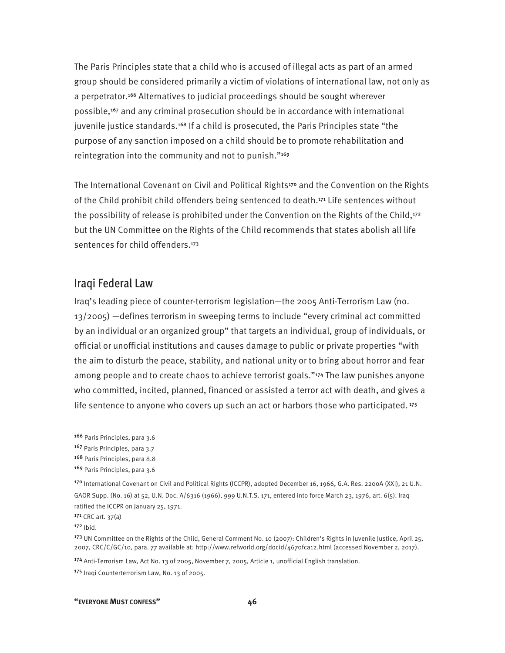The Paris Principles state that a child who is accused of illegal acts as part of an armed group should be considered primarily a victim of violations of international law, not only as a perpetrator.166 Alternatives to judicial proceedings should be sought wherever possible,167 and any criminal prosecution should be in accordance with international juvenile justice standards.<sup>168</sup> If a child is prosecuted, the Paris Principles state "the purpose of any sanction imposed on a child should be to promote rehabilitation and reintegration into the community and not to punish."<sup>169</sup>

The International Covenant on Civil and Political Rights<sup>170</sup> and the Convention on the Rights of the Child prohibit child offenders being sentenced to death.171 Life sentences without the possibility of release is prohibited under the Convention on the Rights of the Child,<sup>172</sup> but the UN Committee on the Rights of the Child recommends that states abolish all life sentences for child offenders.<sup>173</sup>

#### Iraqi Federal Law

Iraq's leading piece of counter-terrorism legislation—the 2005 Anti-Terrorism Law (no. 13/2005) —defines terrorism in sweeping terms to include "every criminal act committed by an individual or an organized group" that targets an individual, group of individuals, or official or unofficial institutions and causes damage to public or private properties "with the aim to disturb the peace, stability, and national unity or to bring about horror and fear among people and to create chaos to achieve terrorist goals."174 The law punishes anyone who committed, incited, planned, financed or assisted a terror act with death, and gives a life sentence to anyone who covers up such an act or harbors those who participated.<sup>175</sup>

<sup>166</sup> Paris Principles, para 3.6

<sup>167</sup> Paris Principles, para 3.7

<sup>168</sup> Paris Principles, para 8.8

<sup>169</sup> Paris Principles, para 3.6

<sup>170</sup> International Covenant on Civil and Political Rights (ICCPR), adopted December 16, 1966, G.A. Res. 2200A (XXI), 21 U.N. GAOR Supp. (No. 16) at 52, U.N. Doc. A/6316 (1966), 999 U.N.T.S. 171, entered into force March 23, 1976, art. 6(5). Iraq ratified the ICCPR on January 25, 1971.

<sup>171</sup> CRC art. 37(a)

 $172$  Ibid.

<sup>173</sup> UN Committee on the Rights of the Child, General Comment No. 10 (2007): Children's Rights in Juvenile Justice, April 25, 2007, CRC/C/GC/10, para. 77 available at: http://www.refworld.org/docid/4670fca12.html (accessed November 2, 2017).

<sup>174</sup> Anti-Terrorism Law, Act No. 13 of 2005, November 7, 2005, Article 1, unofficial English translation.

<sup>175</sup> Iraqi Counterterrorism Law, No. 13 of 2005.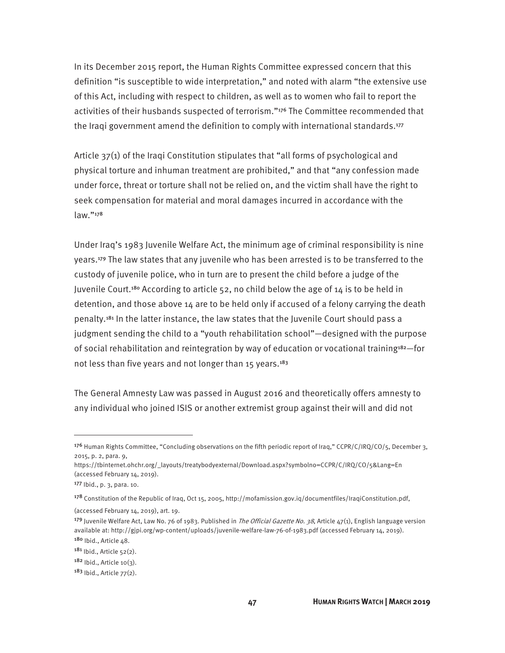In its December 2015 report, the Human Rights Committee expressed concern that this definition "is susceptible to wide interpretation," and noted with alarm "the extensive use of this Act, including with respect to children, as well as to women who fail to report the activities of their husbands suspected of terrorism."176 The Committee recommended that the Iraqi government amend the definition to comply with international standards.<sup>177</sup>

Article 37(1) of the Iraqi Constitution stipulates that "all forms of psychological and physical torture and inhuman treatment are prohibited," and that "any confession made under force, threat or torture shall not be relied on, and the victim shall have the right to seek compensation for material and moral damages incurred in accordance with the law."<sup>178</sup>

Under Iraq's 1983 Juvenile Welfare Act, the minimum age of criminal responsibility is nine years.179 The law states that any juvenile who has been arrested is to be transferred to the custody of juvenile police, who in turn are to present the child before a judge of the Juvenile Court.<sup>180</sup> According to article 52, no child below the age of 14 is to be held in detention, and those above 14 are to be held only if accused of a felony carrying the death penalty.181 In the latter instance, the law states that the Juvenile Court should pass a judgment sending the child to a "youth rehabilitation school"—designed with the purpose of social rehabilitation and reintegration by way of education or vocational training<sup>182</sup>-for not less than five years and not longer than 15 years.<sup>183</sup>

The General Amnesty Law was passed in August 2016 and theoretically offers amnesty to any individual who joined ISIS or another extremist group against their will and did not

<sup>&</sup>lt;sup>176</sup> Human Rights Committee, "Concluding observations on the fifth periodic report of Iraq," CCPR/C/IRQ/CO/5, December 3, 2015, p. 2, para. 9,

https://tbinternet.ohchr.org/\_layouts/treatybodyexternal/Download.aspx?symbolno=CCPR/C/IRQ/CO/5&Lang=En (accessed February 14, 2019).

<sup>177</sup> Ibid., p. 3, para. 10.

<sup>178</sup> Constitution of the Republic of Iraq, Oct 15, 2005, http://mofamission.gov.iq/documentfiles/IraqiConstitution.pdf,

<sup>(</sup>accessed February 14, 2019), art. 19.

<sup>&</sup>lt;sup>179</sup> Juvenile Welfare Act, Law No. 76 of 1983. Published in *The Official Gazette No. 38*, Article  $47(1)$ , English language version available at: http://gjpi.org/wp-content/uploads/juvenile-welfare-law-76-of-1983.pdf (accessed February 14, 2019). 180 Ibid., Article 48.

<sup>181</sup> Ibid., Article 52(2).

 $182$  Ibid., Article 10(3).

 $183$  Ibid., Article  $77(2)$ .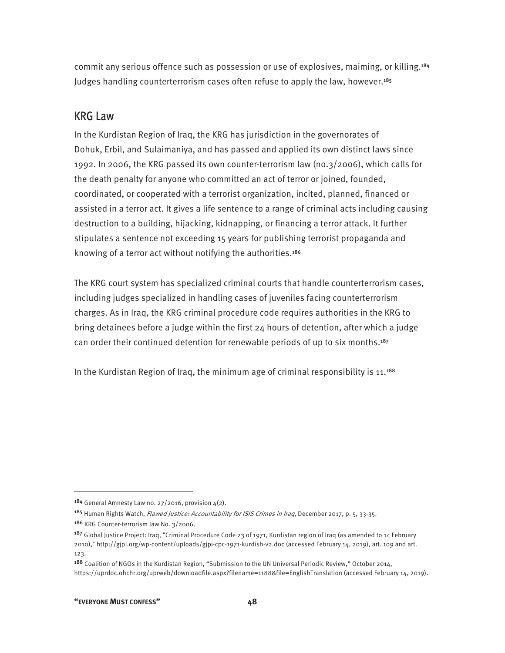commit any serious offence such as possession or use of explosives, maiming, or killing.<sup>184</sup> Judges handling counterterrorism cases often refuse to apply the law, however.<sup>185</sup>

### KRG Law

In the Kurdistan Region of Iraq, the KRG has jurisdiction in the governorates of Dohuk, Erbil, and Sulaimaniya, and has passed and applied its own distinct laws since 1992. In 2006, the KRG passed its own counter-terrorism law (no.3/2006), which calls for the death penalty for anyone who committed an act of terror or joined, founded, coordinated, or cooperated with a terrorist organization, incited, planned, financed or assisted in a terror act. It gives a life sentence to a range of criminal acts including causing destruction to a building, hijacking, kidnapping, or financing a terror attack. It further stipulates a sentence not exceeding 15 years for publishing terrorist propaganda and knowing of a terror act without notifying the authorities.<sup>186</sup>

The KRG court system has specialized criminal courts that handle counterterrorism cases, including judges specialized in handling cases of juveniles facing counterterrorism charges. As in Iraq, the KRG criminal procedure code requires authorities in the KRG to bring detainees before a judge within the first 24 hours of detention, after which a judge can order their continued detention for renewable periods of up to six months.<sup>187</sup>

In the Kurdistan Region of Iraq, the minimum age of criminal responsibility is 11.<sup>188</sup>

<sup>&</sup>lt;sup>184</sup> General Amnesty Law no. 27/2016, provision  $4(2)$ .

<sup>185</sup> Human Rights Watch, *Flawed Justice: Accountability for ISIS Crimes in Iraq*, December 2017, p. 5, 33-35.

<sup>186</sup> KRG Counter-terrorism law No. 3/2006.

<sup>187</sup> Global Justice Project: Iraq, "Criminal Procedure Code 23 of 1971, Kurdistan region of Iraq (as amended to 14 February 2010)," http://gjpi.org/wp-content/uploads/gjpi-cpc-1971-kurdish-v2.doc (accessed February 14, 2019), art. 109 and art. 123.

<sup>188</sup> Coalition of NGOs in the Kurdistan Region, "Submission to the UN Universal Periodic Review," October 2014, https://uprdoc.ohchr.org/uprweb/downloadfile.aspx?filename=1188&file=EnglishTranslation (accessed February 14, 2019).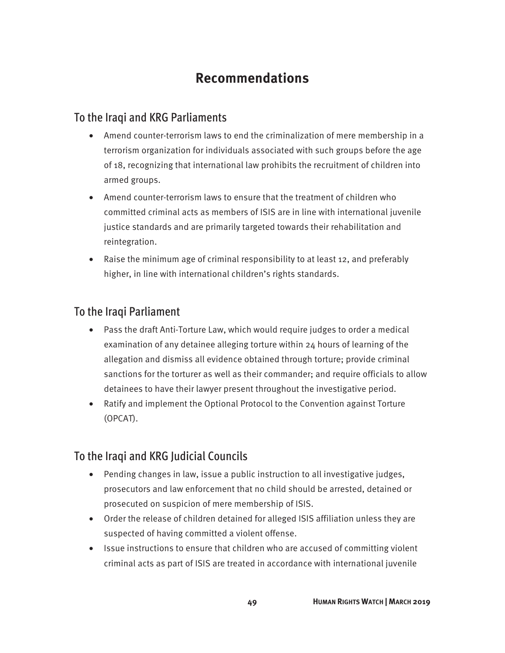## **Recommendations**

## To the Iraqi and KRG Parliaments

- Amend counter-terrorism laws to end the criminalization of mere membership in a terrorism organization for individuals associated with such groups before the age of 18, recognizing that international law prohibits the recruitment of children into armed groups.
- Amend counter-terrorism laws to ensure that the treatment of children who committed criminal acts as members of ISIS are in line with international juvenile justice standards and are primarily targeted towards their rehabilitation and reintegration.
- Raise the minimum age of criminal responsibility to at least 12, and preferably higher, in line with international children's rights standards.

## To the Iraqi Parliament

- Pass the draft Anti-Torture Law, which would require judges to order a medical examination of any detainee alleging torture within 24 hours of learning of the allegation and dismiss all evidence obtained through torture; provide criminal sanctions for the torturer as well as their commander; and require officials to allow detainees to have their lawyer present throughout the investigative period.
- Ratify and implement the Optional Protocol to the Convention against Torture (OPCAT).

## To the Iraqi and KRG Judicial Councils

- Pending changes in law, issue a public instruction to all investigative judges, prosecutors and law enforcement that no child should be arrested, detained or prosecuted on suspicion of mere membership of ISIS.
- Order the release of children detained for alleged ISIS affiliation unless they are suspected of having committed a violent offense.
- Issue instructions to ensure that children who are accused of committing violent criminal acts as part of ISIS are treated in accordance with international juvenile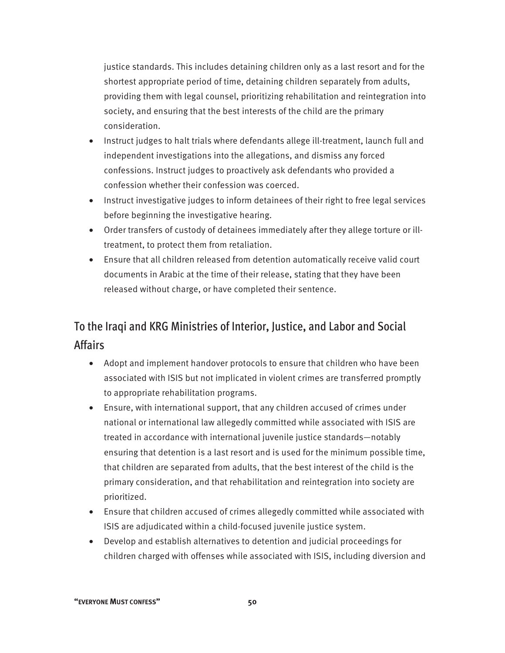justice standards. This includes detaining children only as a last resort and for the shortest appropriate period of time, detaining children separately from adults, providing them with legal counsel, prioritizing rehabilitation and reintegration into society, and ensuring that the best interests of the child are the primary consideration.

- Instruct judges to halt trials where defendants allege ill-treatment, launch full and independent investigations into the allegations, and dismiss any forced confessions. Instruct judges to proactively ask defendants who provided a confession whether their confession was coerced.
- Instruct investigative judges to inform detainees of their right to free legal services before beginning the investigative hearing.
- Order transfers of custody of detainees immediately after they allege torture or illtreatment, to protect them from retaliation.
- Ensure that all children released from detention automatically receive valid court documents in Arabic at the time of their release, stating that they have been released without charge, or have completed their sentence.

## To the Iraqi and KRG Ministries of Interior, Justice, and Labor and Social Affairs

- Adopt and implement handover protocols to ensure that children who have been associated with ISIS but not implicated in violent crimes are transferred promptly to appropriate rehabilitation programs.
- Ensure, with international support, that any children accused of crimes under national or international law allegedly committed while associated with ISIS are treated in accordance with international juvenile justice standards—notably ensuring that detention is a last resort and is used for the minimum possible time, that children are separated from adults, that the best interest of the child is the primary consideration, and that rehabilitation and reintegration into society are prioritized.
- Ensure that children accused of crimes allegedly committed while associated with ISIS are adjudicated within a child-focused juvenile justice system.
- Develop and establish alternatives to detention and judicial proceedings for children charged with offenses while associated with ISIS, including diversion and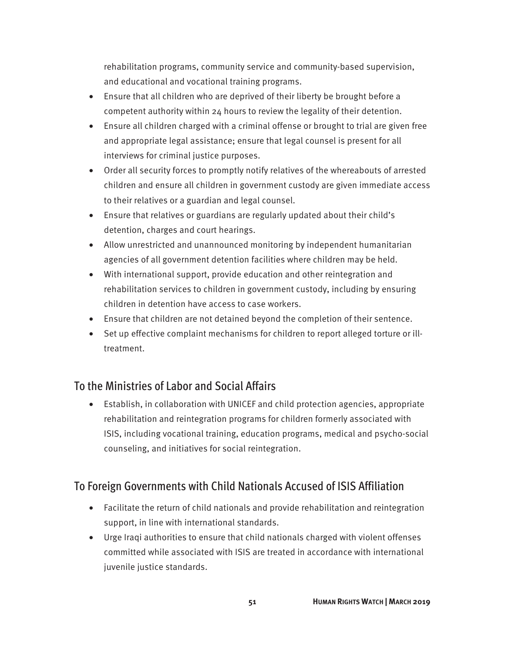rehabilitation programs, community service and community-based supervision, and educational and vocational training programs.

- Ensure that all children who are deprived of their liberty be brought before a competent authority within 24 hours to review the legality of their detention.
- Ensure all children charged with a criminal offense or brought to trial are given free and appropriate legal assistance; ensure that legal counsel is present for all interviews for criminal justice purposes.
- Order all security forces to promptly notify relatives of the whereabouts of arrested children and ensure all children in government custody are given immediate access to their relatives or a guardian and legal counsel.
- Ensure that relatives or guardians are regularly updated about their child's detention, charges and court hearings.
- Allow unrestricted and unannounced monitoring by independent humanitarian agencies of all government detention facilities where children may be held.
- With international support, provide education and other reintegration and rehabilitation services to children in government custody, including by ensuring children in detention have access to case workers.
- Ensure that children are not detained beyond the completion of their sentence.
- Set up effective complaint mechanisms for children to report alleged torture or illtreatment.

## To the Ministries of Labor and Social Affairs

• Establish, in collaboration with UNICEF and child protection agencies, appropriate rehabilitation and reintegration programs for children formerly associated with ISIS, including vocational training, education programs, medical and psycho-social counseling, and initiatives for social reintegration.

## To Foreign Governments with Child Nationals Accused of ISIS Affiliation

- Facilitate the return of child nationals and provide rehabilitation and reintegration support, in line with international standards.
- Urge Iraqi authorities to ensure that child nationals charged with violent offenses committed while associated with ISIS are treated in accordance with international juvenile justice standards.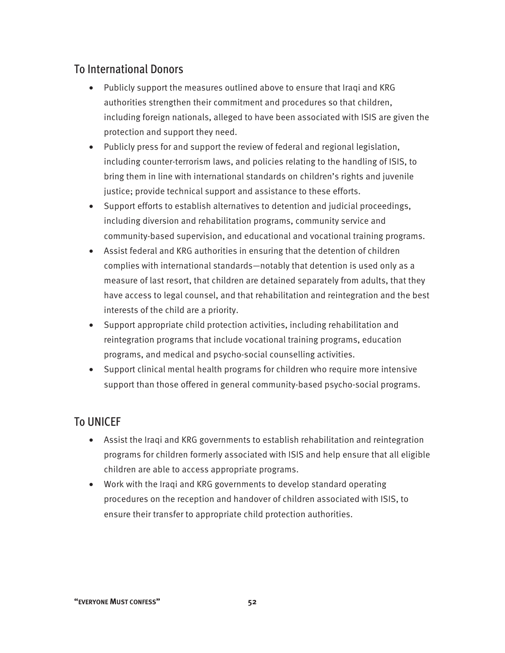## To International Donors

- Publicly support the measures outlined above to ensure that Iraqi and KRG authorities strengthen their commitment and procedures so that children, including foreign nationals, alleged to have been associated with ISIS are given the protection and support they need.
- Publicly press for and support the review of federal and regional legislation, including counter-terrorism laws, and policies relating to the handling of ISIS, to bring them in line with international standards on children's rights and juvenile justice; provide technical support and assistance to these efforts.
- Support efforts to establish alternatives to detention and judicial proceedings, including diversion and rehabilitation programs, community service and community-based supervision, and educational and vocational training programs.
- Assist federal and KRG authorities in ensuring that the detention of children complies with international standards—notably that detention is used only as a measure of last resort, that children are detained separately from adults, that they have access to legal counsel, and that rehabilitation and reintegration and the best interests of the child are a priority.
- Support appropriate child protection activities, including rehabilitation and reintegration programs that include vocational training programs, education programs, and medical and psycho-social counselling activities.
- Support clinical mental health programs for children who require more intensive support than those offered in general community-based psycho-social programs.

## To UNICEF

- Assist the Iraqi and KRG governments to establish rehabilitation and reintegration programs for children formerly associated with ISIS and help ensure that all eligible children are able to access appropriate programs.
- Work with the Iraqi and KRG governments to develop standard operating procedures on the reception and handover of children associated with ISIS, to ensure their transfer to appropriate child protection authorities.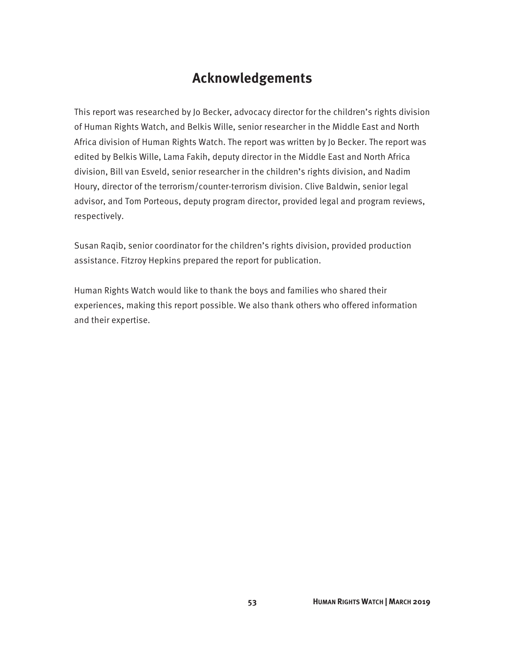## **Acknowledgements**

This report was researched by Jo Becker, advocacy director for the children's rights division of Human Rights Watch, and Belkis Wille, senior researcher in the Middle East and North Africa division of Human Rights Watch. The report was written by Jo Becker. The report was edited by Belkis Wille, Lama Fakih, deputy director in the Middle East and North Africa division, Bill van Esveld, senior researcher in the children's rights division, and Nadim Houry, director of the terrorism/counter-terrorism division. Clive Baldwin, senior legal advisor, and Tom Porteous, deputy program director, provided legal and program reviews, respectively.

Susan Raqib, senior coordinator for the children's rights division, provided production assistance. Fitzroy Hepkins prepared the report for publication.

Human Rights Watch would like to thank the boys and families who shared their experiences, making this report possible. We also thank others who offered information and their expertise.